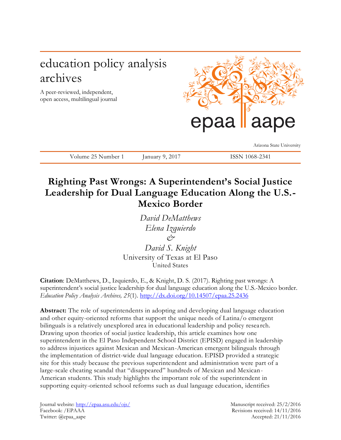# education policy analysis archives

A peer-reviewed, independent, open access, multilingual journal



Arizona State University

Volume 25 Number 1 January 9, 2017 ISSN 1068-2341

# **Righting Past Wrongs: A Superintendent's Social Justice Leadership for Dual Language Education Along the U.S.- Mexico Border**

*David DeMatthews Elena Izquierdo & David S. Knight*

University of Texas at El Paso United States

**Citation**: DeMatthews, D., Izquierdo, E., & Knight, D. S. (2017). Righting past wrongs: A superintendent's social justice leadership for dual language education along the U.S.-Mexico border. *Education Policy Analysis Archives, 25*(1). <http://dx.doi.org/10.14507/epaa.25.2436>

**Abstract:** The role of superintendents in adopting and developing dual language education and other equity-oriented reforms that support the unique needs of Latina/o emergent bilinguals is a relatively unexplored area in educational leadership and policy resea rch. Drawing upon theories of social justice leadership, this article examines how one superintendent in the El Paso Independent School District (EPISD) engaged in leadership to address injustices against Mexican and Mexican-American emergent bilinguals through the implementation of district-wide dual language education. EPISD provided a strategic site for this study because the previous superintendent and administration were part of a large-scale cheating scandal that "disappeared" hundreds of Mexican and Mexican-American students. This study highlights the important role of the superintendent in supporting equity-oriented school reforms such as dual language education, identifies

Journal website:<http://epaa.asu.edu/ojs/> Manuscript received: 25/2/2016 Facebook: /EPAAA Revisions received: 14/11/2016 Twitter: @epaa\_aape Accepted: 21/11/2016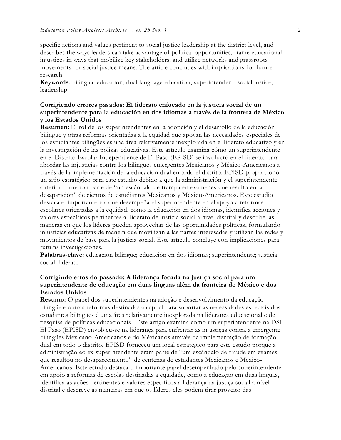specific actions and values pertinent to social justice leadership at the district level, and describes the ways leaders can take advantage of political opportunities, frame educational injustices in ways that mobilize key stakeholders, and utilize networks and grassroots movements for social justice means. The article concludes with implications for future research.

**Keywords**: bilingual education; dual language education; superintendent; social justice; leadership

# **Corrigiendo errores pasados: El liderato enfocado en la justicia social de un superintendente para la educación en dos idiomas a través de la frontera de México y los Estados Unidos**

**Resumen:** El rol de los superintendentes en la adopción y el desarrollo de la educación bilingüe y otras reformas orientadas a la equidad que apoyan las necesidades especiales de los estudiantes bilingües es una área relativamente inexplorada en el liderato educativo y en la investigación de las pólizas educativas. Este artículo examina cómo un superintendente en el Distrito Escolar Independiente de El Paso (EPISD) se involucró en el liderato para abordar las injusticias contra los bilingües emergentes Mexicanos y México-Americanos a través de la implementación de la educación dual en todo el distrito. EPISD proporcionó un sitio estratégico para este estudio debido a que la administración y el superintendente anterior formaron parte de "un escándalo de trampa en exámenes que resulto en la desaparición" de cientos de estudiantes Mexicanos y México-Americanos. Este estudio destaca el importante rol que desempeña el superintendente en el apoyo a reformas escolares orientadas a la equidad, como la educación en dos idiomas, identifica acciones y valores específicos pertinentes al liderato de justicia social a nivel distrital y describe las maneras en que los líderes pueden aprovechar de las oportunidades políticas, formulando injusticias educativas de manera que movilizan a las partes interesadas y utilizan las redes y movimientos de base para la justicia social. Este artículo concluye con implicaciones para futuras investigaciones.

**Palabras-clave:** educación bilingüe; educación en dos idiomas; superintendente; justicia social; liderato

## **Corrigindo erros do passado: A liderança focada na justiça social para um superintendente de educação em duas línguas além da fronteira do México e dos Estados Unidos**

**Resumo:** O papel dos superintendentes na adoção e desenvolvimento da educação bilíngüe e outras reformas destinadas a capital para suportar as necessidades especiais dos estudantes bilíngües é uma área relativamente inexplorada na liderança educacional e de pesquisa de políticas educacionais . Este artigo examina como um superintendente na DSI El Paso (EPISD) envolveu-se na liderança para enfrentar as injustiças contra a emergente bilíngües Mexicano-Americanos e do Méxicanos através da implementação de formação dual em todo o distrito. EPISD forneceu um local estratégico para este estudo porque a administração eo ex-superintendente eram parte de "um escândalo de fraude em exames que resultou no desaparecimento" de centenas de estudantes Mexicanos e México-Americanos. Este estudo destaca o importante papel desempenhado pelo superintendente em apoio a reformas de escolas destinadas a equidade, como a educação em duas línguas, identifica as ações pertinentes e valores específicos a liderança da justiça social a nível distrital e descreve as maneiras em que os líderes eles podem tirar proveito das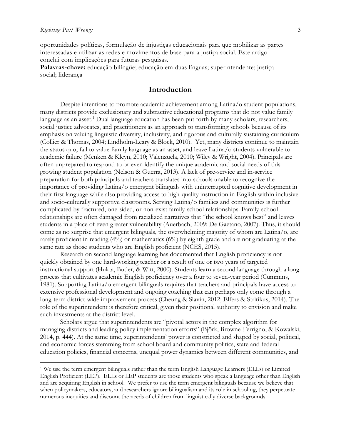$\overline{a}$ 

oportunidades políticas, formulação de injustiças educacionais para que mobilizar as partes interessadas e utilizar as redes e movimentos de base para a justiça social. Este artigo conclui com implicações para futuras pesquisas.

**Palavras-chave:** educação bilíngüe; educação em duas línguas; superintendente; justiça social; liderança

# **Introduction**

Despite intentions to promote academic achievement among Latina/o student populations, many districts provide exclusionary and subtractive educational programs that do not value family language as an asset.<sup>1</sup> Dual language education has been put forth by many scholars, researchers, social justice advocates, and practitioners as an approach to transforming schools because of its emphasis on valuing linguistic diversity, inclusivity, and rigorous and culturally sustaining curriculum (Collier & Thomas, 2004; Lindholm-Leary & Block, 2010). Yet, many districts continue to maintain the status quo, fail to value family language as an asset, and leave Latina/o students vulnerable to academic failure (Menken & Kleyn, 2010; Valenzuela, 2010; Wiley & Wright, 2004). Principals are often unprepared to respond to or even identify the unique academic and social needs of this growing student population (Nelson & Guerra, 2013). A lack of pre-service and in-service preparation for both principals and teachers translates into schools unable to recognize the importance of providing Latina/o emergent bilinguals with uninterrupted cognitive development in their first language while also providing access to high-quality instruction in English within inclusive and socio-culturally supportive classrooms. Serving Latina/o families and communities is further complicated by fractured, one-sided, or non-exist family-school relationships. Family-school relationships are often damaged from racialized narratives that "the school knows best" and leaves students in a place of even greater vulnerability (Auerbach, 2009; De Gaetano, 2007). Thus, it should come as no surprise that emergent bilinguals, the overwhelming majority of whom are Latina/o, are rarely proficient in reading (4%) or mathematics (6%) by eighth grade and are not graduating at the same rate as those students who are English proficient (NCES, 2015).

Research on second language learning has documented that English proficiency is not quickly obtained by one hard-working teacher or a result of one or two years of targeted instructional support (Hukta, Butler, & Witt, 2000). Students learn a second language through a long process that cultivates academic English proficiency over a four to seven-year period (Cummins, 1981). Supporting Latina/o emergent bilinguals requires that teachers and principals have access to extensive professional development and ongoing coaching that can perhaps only come through a long-term district-wide improvement process (Cheung & Slavin, 2012; Elfers & Stritikus, 2014). The role of the superintendent is therefore critical, given their positional authority to envision and make such investments at the district level.

Scholars argue that superintendents are "pivotal actors in the complex algorithm for managing districts and leading policy implementation efforts" (Björk, Browne-Ferrigno, & Kowalski, 2014, p. 444). At the same time, superintendents' power is constricted and shaped by social, political, and economic forces stemming from school board and community politics, state and federal education policies, financial concerns, unequal power dynamics between different communities, and

<sup>1</sup> We use the term emergent bilinguals rather than the term English Language Learners (ELLs) or Limited English Proficient (LEP). ELLs or LEP students are those students who speak a language other than English and are acquiring English in school. We prefer to use the term emergent bilinguals because we believe that when policymakers, educators, and researchers ignore bilingualism and its role in schooling, they perpetuate numerous inequities and discount the needs of children from linguistically diverse backgrounds.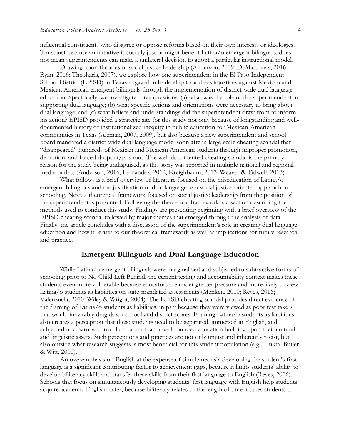influential constituents who disagree or oppose reforms based on their own interests or ideologies. Thus, just because an initiative is socially just or might benefit Latina/o emergent bilinguals, does not mean superintendents can make a unilateral decision to adopt a particular instructional model.

Drawing upon theories of social justice leadership (Anderson, 2009; DeMatthews, 2016; Ryan, 2016; Theoharis, 2007), we explore how one superintendent in the El Paso Independent School District (EPISD) in Texas engaged in leadership to address injustices against Mexican and Mexican American emergent bilinguals through the implementation of district-wide dual language education. Specifically, we investigate three questions: (a) what was the role of the superintendent in supporting dual language; (b) what specific actions and orientations were necessary to bring about dual language; and (c) what beliefs and understandings did the superintendent draw from to inform his action? EPISD provided a strategic site for this study not only because of longstanding and welldocumented history of institutionalized inequity in public education for Mexican-American communities in Texas (Alemán, 2007, 2009), but also because a new superintendent and school board mandated a district-wide dual language model soon after a large-scale cheating scandal that "disappeared" hundreds of Mexican and Mexican American students through improper promotion, demotion, and forced dropout/pushout. The well-documented cheating scandal is the primary reason for the study being undisguised, as this story was reported in multiple national and regional media outlets (Anderson, 2016; Fernandez, 2012; Kreighbaum, 2013; Weaver & Tidwell, 2013).

What follows is a brief overview of literature focused on the miseducation of Latina/o emergent bilinguals and the justification of dual language as a social justice-oriented approach to schooling. Next, a theoretical framework focused on social justice leadership from the position of the superintendent is presented. Following the theoretical framework is a section describing the methods used to conduct this study. Findings are presenting beginning with a brief overview of the EPISD cheating scandal followed by major themes that emerged through the analysis of data. Finally, the article concludes with a discussion of the superintendent's role in creating dual language education and how it relates to our theoretical framework as well as implications for future research and practice.

## **Emergent Bilinguals and Dual Language Education**

While Latina/o emergent bilinguals were marginalized and subjected to subtractive forms of schooling prior to No Child Left Behind, the current testing and accountability context makes these students even more vulnerable because educators are under greater pressure and more likely to view Latina/o students as liabilities on state-mandated assessments (Menken, 2010; Reyes, 2016; Valenzuela, 2010; Wiley & Wright, 2004). The EPISD cheating scandal provides direct evidence of the framing of Latina/o students as liabilities, in part because they were viewed as poor test takers that would inevitably drag down school and district scores. Framing Latina/o students as liabilities also creates a perception that these students need to be separated, immersed in English, and subjected to a narrow curriculum rather than a well-rounded education building upon their cultural and linguistic assets. Such perceptions and practices are not only unjust and inherently racist, but also outside what research suggests is most beneficial for this student population (e.g., Hukta, Butler, & Witt, 2000).

An overemphasis on English at the expense of simultaneously developing the student's first language is a significant contributing factor to achievement gaps, because it limits students' ability to develop biliteracy skills and transfer these skills from their first language to English (Reyes, 2006). Schools that focus on simultaneously developing students' first language with English help students acquire academic English faster, because biliteracy relates to the length of time it takes students to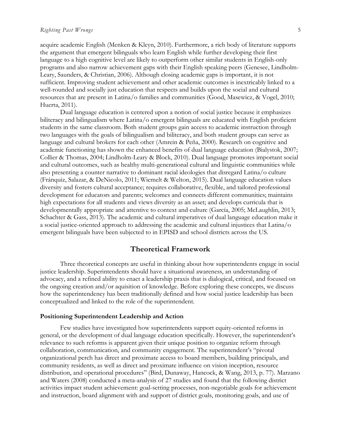acquire academic English (Menken & Kleyn, 2010). Furthermore, a rich body of literature supports the argument that emergent bilinguals who learn English while further developing their first language to a high cognitive level are likely to outperform other similar students in English-only programs and also narrow achievement gaps with their English speaking peers (Genesee, Lindholm-Leary, Saunders, & Christian, 2006). Although closing academic gaps is important, it is not sufficient. Improving student achievement and other academic outcomes is inextricably linked to a well-rounded and socially just education that respects and builds upon the social and cultural resources that are present in Latina/o families and communities (Good, Masewicz, & Vogel, 2010; Huerta, 2011).

Dual language education is centered upon a notion of social justice because it emphasizes biliteracy and bilingualism where Latina/o emergent bilinguals are educated with English proficient students in the same classroom. Both student groups gain access to academic instruction through two languages with the goals of bilingualism and biliteracy, and both student groups can serve as language and cultural brokers for each other (Amrein & Peña, 2000). Research on cognitive and academic functioning has shown the enhanced benefits of dual language education (Bialystok, 2007; Collier & Thomas, 2004; Lindholm-Leary & Block, 2010). Dual language promotes important social and cultural outcomes, such as healthy multi-generational cultural and linguistic communities while also presenting a counter narrative to dominant racial ideologies that disregard Latina/o culture (Fránquiz, Salazar, & DeNicolo, 2011; Wiemelt & Welton, 2015). Dual language education values diversity and fosters cultural acceptance; requires collaborative, flexible, and tailored professional development for educators and parents; welcomes and connects different communities; maintains high expectations for all students and views diversity as an asset; and develops curricula that is developmentally appropriate and attentive to context and culture (García, 2005; McLaughlin, 2013; Schachter & Gass, 2013). The academic and cultural imperatives of dual language education make it a social justice-oriented approach to addressing the academic and cultural injustices that Latina/o emergent bilinguals have been subjected to in EPISD and school districts across the US.

## **Theoretical Framework**

Three theoretical concepts are useful in thinking about how superintendents engage in social justice leadership. Superintendents should have a situational awareness, an understanding of advocacy, and a refined ability to enact a leadership praxis that is dialogical, critical, and focused on the ongoing creation and/or aquisition of knowledge. Before exploring these concepts, we discuss how the superintendency has been traditionally defined and how social justice leadership has been conceptualized and linked to the role of the superintendent.

#### **Positioning Superintendent Leadership and Action**

Few studies have investigated how superintendents support equity-oriented reforms in general, or the development of dual language education specifically. However, the superintendent's relevance to such reforms is apparent given their unique position to organize reform through collaboration, communication, and community engagement. The superintendent's "pivotal organizational perch has direct and proximate access to board members, building principals, and community residents, as well as direct and proximate influence on vision inception, resource distribution, and operational procedures" (Bird, Dunaway, Hancock, & Wang, 2013, p. 77). Marzano and Waters (2008) conducted a meta-analysis of 27 studies and found that the following district activities impact student achievement: goal-setting processes, non-negotiable goals for achievement and instruction, board alignment with and support of district goals, monitoring goals, and use of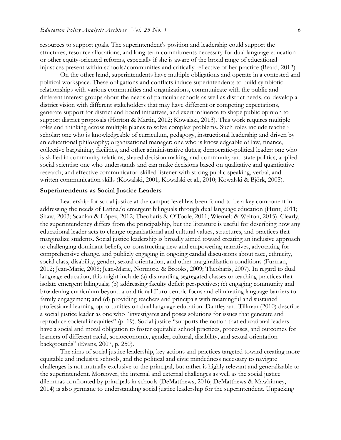resources to support goals. The superintendent's position and leadership could support the structures, resource allocations, and long-term commitments necessary for dual language education or other equity-oriented reforms, especially if she is aware of the broad range of educational injustices present within schools/communities and critically reflective of her practice (Beard, 2012).

On the other hand, superintendents have multiple obligations and operate in a contested and political workspace. These obligations and conflicts induce superintendents to build symbiotic relationships with various communities and organizations, communicate with the public and different interest groups about the needs of particular schools as well as district needs, co-develop a district vision with different stakeholders that may have different or competing expectations, generate support for district and board initiatives, and exert influence to shape public opinion to support district proposals (Horton & Martin, 2012; Kowalski, 2013). This work requires multiple roles and thinking across multiple planes to solve complex problems. Such roles include teacherscholar: one who is knowledgeable of curriculum, pedagogy, instructional leadership and driven by an educational philosophy; organizational manager: one who is knowledgeable of law, finance, collective bargaining, facilities, and other administrative duties; democratic-political leader: one who is skilled in community relations, shared decision making, and community and state politics; applied social scientist: one who understands and can make decisions based on qualitative and quantitative research; and effective communicator: skilled listener with strong public speaking, verbal, and written communication skills (Kowalski, 2001; Kowalski et al., 2010; Kowalski & Björk, 2005).

#### **Superintendents as Social Justice Leaders**

Leadership for social justice at the campus level has been found to be a key component in addressing the needs of Latina/o emergent bilinguals through dual language education (Hunt, 2011; Shaw, 2003; Scanlan & López, 2012; Theoharis & O'Toole, 2011; Wiemelt & Welton, 2015). Clearly, the superintendency differs from the principalship, but the literature is useful for describing how any educational leader acts to change organizational and cultural values, structures, and practices that marginalize students. Social justice leadership is broadly aimed toward creating an inclusive approach to challenging dominant beliefs, co-constructing new and empowering narratives, advocating for comprehensive change, and publicly engaging in ongoing candid discussions about race, ethnicity, social class, disability, gender, sexual orientation, and other marginalization conditions (Furman, 2012; Jean-Marie, 2008; Jean-Marie, Normore, & Brooks, 2009; Theoharis, 2007). In regard to dual language education, this might include (a) dismantling segregated classes or teaching practices that isolate emergent bilinguals; (b) addressing faculty deficit perspectives; (c) engaging community and broadening curriculum beyond a traditional Euro-centric focus and eliminating language barriers to family engagement; and (d) providing teachers and principals with meaningful and sustained professional learning opportunities on dual language education. Dantley and Tillman (2010) describe a social justice leader as one who "investigates and poses solutions for issues that generate and reproduce societal inequities" (p. 19). Social justice "supports the notion that educational leaders have a social and moral obligation to foster equitable school practices, processes, and outcomes for learners of different racial, socioeconomic, gender, cultural, disability, and sexual orientation backgrounds" (Evans, 2007, p. 250).

The aims of social justice leadership, key actions and practices targeted toward creating more equitable and inclusive schools, and the political and civic mindedness necessary to navigate challenges is not mutually exclusive to the principal, but rather is highly relevant and generalizable to the superintendent. Moreover, the internal and external challenges as well as the social justice dilemmas confronted by principals in schools (DeMatthews, 2016; DeMatthews & Mawhinney, 2014) is also germane to understanding social justice leadership for the superintendent. Unpacking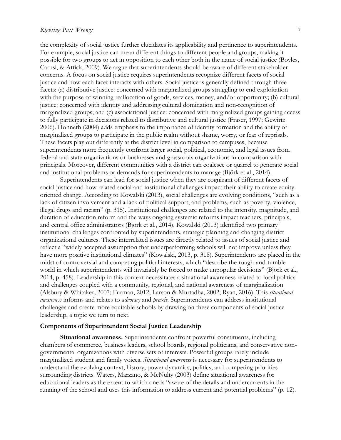the complexity of social justice further elucidates its applicability and pertinence to superintendents. For example, social justice can mean different things to different people and groups, making it possible for two groups to act in opposition to each other both in the name of social justice (Boyles, Carusi, & Attick, 2009). We argue that superintendents should be aware of different stakeholder concerns. A focus on social justice requires superintendents recognize different facets of social justice and how each facet interacts with others. Social justice is generally defined through three facets: (a) distributive justice: concerned with marginalized groups struggling to end exploitation with the purpose of winning reallocation of goods, services, money, and/or opportunity; (b) cultural justice: concerned with identity and addressing cultural domination and non-recognition of marginalized groups; and (c) associational justice: concerned with marginalized groups gaining access to fully participate in decisions related to distributive and cultural justice (Fraser, 1997; Gewirtz 2006). Honneth (2004) adds emphasis to the importance of identity formation and the ability of marginalized groups to participate in the public realm without shame, worry, or fear of reprisals. These facets play out differently at the district level in comparison to campuses, because superintendents more frequently confront larger social, political, economic, and legal issues from federal and state organizations or businesses and grassroots organizations in comparison with principals. Moreover, different communities with a district can coalesce or quarrel to generate social and institutional problems or demands for superintendents to manage (Björk et al., 2014).

Superintendents can lead for social justice when they are cognizant of different facets of social justice and how related social and institutional challenges impact their ability to create equityoriented change. According to Kowalski (2013), social challenges are evolving conditions, "such as a lack of citizen involvement and a lack of political support, and problems, such as poverty, violence, illegal drugs and racism" (p. 315). Institutional challenges are related to the intensity, magnitude, and duration of education reform and the ways ongoing systemic reforms impact teachers, principals, and central office administrators (Björk et al., 2014). Kowalski (2013) identified two primary institutional challenges confronted by superintendents, strategic planning and changing district organizational cultures. These interrelated issues are directly related to issues of social justice and reflect a "widely accepted assumption that underperforming schools will not improve unless they have more positive institutional climates" (Kowalski, 2013, p. 318). Superintendents are placed in the midst of controversial and competing political interests, which "describe the rough-and-tumble world in which superintendents will invariably be forced to make unpopular decisions" (Björk et al., 2014, p. 458). Leadership in this context necessitates a situational awareness related to local politics and challenges coupled with a community, regional, and national awareness of marginalization (Alsbury & Whitaker, 2007; Furman, 2012; Larson & Murtadha, 2002; Ryan, 2016). This *situational awareness* informs and relates to *advocacy* and *praxis*. Superintendents can address institutional challenges and create more equitable schools by drawing on these components of social justice leadership, a topic we turn to next.

#### **Components of Superintendent Social Justice Leadership**

**Situational awareness.** Superintendents confront powerful constituents, including chambers of commerce, business leaders, school boards, regional politicians, and conservative nongovernmental organizations with diverse sets of interests. Powerful groups rarely include marginalized student and family voices. *Situational awareness* is necessary for superintendents to understand the evolving context, history, power dynamics, politics, and competing priorities surrounding districts. Waters, Marzano, & McNulty (2003) define situational awareness for educational leaders as the extent to which one is "aware of the details and undercurrents in the running of the school and uses this information to address current and potential problems" (p. 12).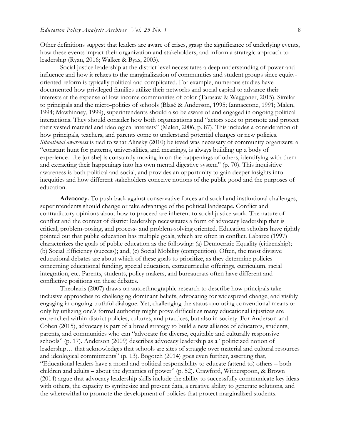Other definitions suggest that leaders are aware of crises, grasp the significance of underlying events, how these events impact their organization and stakeholders, and inform a strategic approach to leadership (Ryan, 2016; Walker & Byas, 2003).

Social justice leadership at the district level necessitates a deep understanding of power and influence and how it relates to the marginalization of communities and student groups since equityoriented reform is typically political and complicated. For example, numerous studies have documented how privileged families utilize their networks and social capital to advance their interests at the expense of low-income communities of color (Tarasaw & Waggoner, 2015). Similar to principals and the micro-politics of schools (Blasé & Anderson, 1995; Iannaccone, 1991; Malen, 1994; Mawhinney, 1999), superintendents should also be aware of and engaged in ongoing political interactions. They should consider how both organizations and "actors seek to promote and protect their vested material and ideological interests" (Malen, 2006, p. 87). This includes a consideration of how principals, teachers, and parents come to understand potential changes or new policies. *Situational awareness* is tied to what Alinsky (2010) believed was necessary of community organizers: a "constant hunt for patterns, universalities, and meanings, is always building up a body of experience…he [or she] is constantly moving in on the happenings of others, identifying with them and extracting their happenings into his own mental digestive system" (p. 70). This inquisitive awareness is both political and social, and provides an opportunity to gain deeper insights into inequities and how different stakeholders conceive notions of the public good and the purposes of education.

**Advocacy.** To push back against conservative forces and social and institutional challenges, superintendents should change or take advantage of the political landscape. Conflict and contradictory opinions about how to proceed are inherent to social justice work. The nature of conflict and the context of district leadership necessitates a form of advocacy leadership that is critical, problem-posing, and process- and problem-solving oriented. Education scholars have rightly pointed out that public education has multiple goals, which are often in conflict. Labaree (1997) characterizes the goals of public education as the following: (a) Democratic Equality (citizenship); (b) Social Efficiency (success); and, (c) Social Mobility (competition). Often, the most divisive educational debates are about which of these goals to prioritize, as they determine policies concerning educational funding, special education, extracurricular offerings, curriculum, racial integration, etc. Parents, students, policy makers, and bureaucrats often have different and conflictive positions on these debates.

Theoharis (2007) draws on autoethnographic research to describe how principals take inclusive approaches to challenging dominant beliefs, advocating for widespread change, and visibly engaging in ongoing truthful dialogue. Yet, challenging the status quo using conventional means or only by utilizing one's formal authority might prove difficult as many educational injustices are entrenched within district policies, cultures, and practices, but also in society. For Anderson and Cohen (2015), advocacy is part of a broad strategy to build a new alliance of educators, students, parents, and communities who can "advocate for diverse, equitable and culturally responsive schools" (p. 17). Anderson (2009) describes advocacy leadership as a "politicized notion of leadership… that acknowledges that schools are sites of struggle over material and cultural resources and ideological commitments" (p. 13). Bogotch (2014) goes even further, asserting that, "Educational leaders have a moral and political responsibility to educate (attend to) others – both children and adults – about the dynamics of power" (p. 52). Crawford, Witherspoon, & Brown (2014) argue that advocacy leadership skills include the ability to successfully communicate key ideas with others, the capacity to synthesize and present data, a creative ability to generate solutions, and the wherewithal to promote the development of policies that protect marginalized students.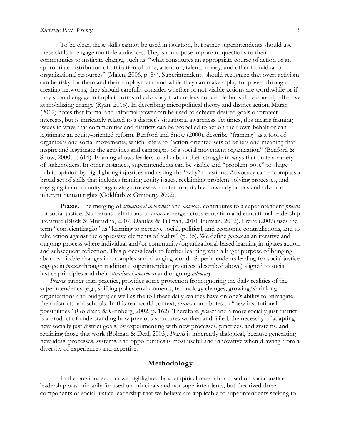#### *Righting Past Wrongs* 9

To be clear, these skills cannot be used in isolation, but rather superintendents should use these skills to engage multiple audiences. They should pose important questions to their communities to instigate change, such as: "what constitutes an appropriate course of action or an appropriate distribution of utilization of time, attention, talent, money, and other individual or organizational resources" (Malen, 2006, p. 84). Superintendents should recognize that overt activism can be risky for them and their employment, and while they can make a play for power through creating networks, they should carefully consider whether or not visible actions are worthwhile or if they should engage in implicit forms of advocacy that are less noticeable but still reasonably effective at mobilizing change (Ryan, 2016). In describing micropolitical theory and district action, Marsh (2012) notes that formal and informal power can be used to achieve desired goals or protect interests, but is intricately related to a district's situational awareness. At times, this means framing issues in ways that communities and districts can be propelled to act on their own behalf or can legitimate an equity-oriented reform. Benford and Snow (2000), describe "framing" as a tool of organizers and social movements, which refers to "action-oriented sets of beliefs and meaning that inspire and legitimate the activities and campaigns of a social movement organization" (Benford & Snow, 2000, p. 614). Framing allows leaders to talk about their struggle in ways that unite a variety of stakeholders. In other instances, superintendents can be visible and "problem-pose" to shape public opinion by highlighting injustices and asking the "why" questions. Advocacy can encompass a broad set of skills that includes framing equity issues, reclaiming problem-solving processes, and engaging in community organizing processes to alter inequitable power dynamics and advance inherent human rights (Goldfarb & Grinberg, 2002).

**Praxis.** The merging of *situational awareness* and *advocacy* contributes to a superintendent *praxis*  for social justice. Numerous definitions of *praxis* emerge across education and educational leadership literature (Black & Murtadha, 2007; Dantley & Tillman, 2010; Furman, 2012). Freire (2007) uses the term "conscientização" as "learning to perceive social, political, and economic contradictions, and to take action against the oppressive elements of reality" (p. 35). We define *praxis* as an iterative and ongoing process where individual and/or community/organizational-based learning instigates action and subsequent reflection. This process leads to further learning with a larger purpose of bringing about equitable changes in a complex and changing world. Superintendents leading for social justice engage in *praxis* through traditional superintendent practices (described above) aligned to social justice principles and their *situational awareness* and ongoing *advocacy*.

*Praxis*, rather than practice, provides some protection from ignoring the daily realities of the superintendency (e.g., shifting policy environments, technology changes, growing/shrinking organizations and budgets) as well as the toll these daily realities have on one's ability to reimagine their districts and schools. In this real world context, *praxis* contributes to "new institutional possibilities" (Goldfarb & Grinberg, 2002, p. 162). Therefore, *praxis* and a more socially just district is a product of understanding how previous structures worked and failed, the necessity of adapting new socially just district goals, by experimenting with new processes, practices, and systems, and retaining those that work (Bolman & Deal, 2003). *Praxis* is inherently dialogical, because generating new ideas, processes, systems, and opportunities is most useful and innovative when drawing from a diversity of experiences and expertise.

## **Methodology**

In the previous section we highlighted how empirical research focused on social justice leadership was primarily focused on principals and not superintendents, but theorized three components of social justice leadership that we believe are applicable to superintendents seeking to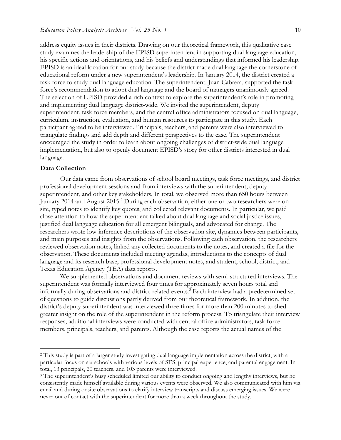address equity issues in their districts. Drawing on our theoretical framework, this qualitative case study examines the leadership of the EPISD superintendent in supporting dual language education, his specific actions and orientations, and his beliefs and understandings that informed his leadership. EPISD is an ideal location for our study because the district made dual language the cornerstone of educational reform under a new superintendent's leadership. In January 2014, the district created a task force to study dual language education. The superintendent, Juan Cabrera, supported the task force's recommendation to adopt dual language and the board of managers unanimously agreed. The selection of EPISD provided a rich context to explore the superintendent's role in promoting and implementing dual language district-wide. We invited the superintendent, deputy superintendent, task force members, and the central office administrators focused on dual language, curriculum, instruction, evaluation, and human resources to participate in this study. Each participant agreed to be interviewed. Principals, teachers, and parents were also interviewed to triangulate findings and add depth and different perspectives to the case. The superintendent encouraged the study in order to learn about ongoing challenges of district-wide dual language implementation, but also to openly document EPISD's story for other districts interested in dual language.

### **Data Collection**

 $\overline{a}$ 

Our data came from observations of school board meetings, task force meetings, and district professional development sessions and from interviews with the superintendent, deputy superintendent, and other key stakeholders. In total, we observed more than 650 hours between January 2014 and August 2015.<sup>2</sup> During each observation, either one or two researchers were on site, typed notes to identify key quotes, and collected relevant documents. In particular, we paid close attention to how the superintendent talked about dual language and social justice issues, justified dual language education for all emergent bilinguals, and advocated for change. The researchers wrote low-inference descriptions of the observation site, dynamics between participants, and main purposes and insights from the observations. Following each observation, the researchers reviewed observation notes, linked any collected documents to the notes, and created a file for the observation. These documents included meeting agendas, introductions to the concepts of dual language and its research base, professional development notes, and student, school, district, and Texas Education Agency (TEA) data reports.

We supplemented observations and document reviews with semi-structured interviews. The superintendent was formally interviewed four times for approximately seven hours total and informally during observations and district-related events.<sup>3</sup> Each interview had a predetermined set of questions to guide discussions partly derived from our theoretical framework. In addition, the district's deputy superintendent was interviewed three times for more than 200 minutes to shed greater insight on the role of the superintendent in the reform process. To triangulate their interview responses, additional interviews were conducted with central office administrators, task force members, principals, teachers, and parents. Although the case reports the actual names of the

<sup>2</sup> This study is part of a larger study investigating dual language implementation across the district, with a particular focus on six schools with various levels of SES, principal experience, and parental engagement. In total, 13 principals, 20 teachers, and 103 parents were interviewed.

<sup>&</sup>lt;sup>3</sup> The superintendent's busy scheduled limited our ability to conduct ongoing and lengthy interviews, but he consistently made himself available during various events were observed. We also communicated with him via email and during onsite observations to clarify interview transcripts and discuss emerging issues. We were never out of contact with the superintendent for more than a week throughout the study.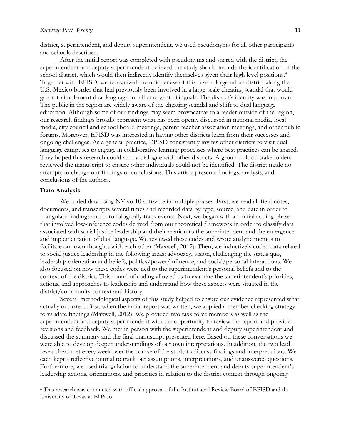district, superintendent, and deputy superintendent, we used pseudonyms for all other participants and schools described.

After the initial report was completed with pseudonyms and shared with the district, the superintendent and deputy superintendent believed the study should include the identification of the school district, which would then indirectly identify themselves given their high level positions.<sup>4</sup> Together with EPISD, we recognized the uniqueness of this case: a large urban district along the U.S.-Mexico border that had previously been involved in a large-scale cheating scandal that would go on to implement dual language for all emergent bilinguals. The district's identity was important. The public in the region are widely aware of the cheating scandal and shift to dual language education. Although some of our findings may seem provocative to a reader outside of the region, our research findings broadly represent what has been openly discussed in national media, local media, city council and school board meetings, parent-teacher association meetings, and other public forums. Moreover, EPISD was interested in having other districts learn from their successes and ongoing challenges. As a general practice, EPISD consistently invites other districts to visit dual language campuses to engage in collaborative learning processes where best practices can be shared. They hoped this research could start a dialogue with other districts. A group of local stakeholders reviewed the manuscript to ensure other individuals could not be identified. The district made no attempts to change our findings or conclusions. This article presents findings, analysis, and conclusions of the authors.

#### **Data Analysis**

 $\overline{a}$ 

We coded data using NVivo 10 software in multiple phases. First, we read all field notes, documents, and transcripts several times and recorded data by type, source, and date in order to triangulate findings and chronologically track events. Next, we began with an initial coding phase that involved low-inference codes derived from our theoretical framework in order to classify data associated with social justice leadership and their relation to the superintendent and the emergence and implementation of dual language. We reviewed these codes and wrote analytic memos to facilitate our own thoughts with each other (Maxwell, 2012). Then, we inductively coded data related to social justice leadership in the following areas: advocacy, vision, challenging the status quo, leadership orientation and beliefs, politics/power/influence, and social/personal interactions. We also focused on how these codes were tied to the superintendent's personal beliefs and to the context of the district. This round of coding allowed us to examine the superintendent's priorities, actions, and approaches to leadership and understand how these aspects were situated in the district/community context and history.

Several methodological aspects of this study helped to ensure our evidence represented what actually occurred. First, when the initial report was written, we applied a member checking strategy to validate findings (Maxwell, 2012). We provided two task force members as well as the superintendent and deputy superintendent with the opportunity to review the report and provide revisions and feedback. We met in person with the superintendent and deputy superintendent and discussed the summary and the final manuscript presented here. Based on these conversations we were able to develop deeper understandings of our own interpretations. In addition, the two lead researchers met every week over the course of the study to discuss findings and interpretations. We each kept a reflective journal to track our assumptions, interpretations, and unanswered questions. Furthermore, we used triangulation to understand the superintendent and deputy superintendent's leadership actions, orientations, and priorities in relation to the district context through ongoing

<sup>4</sup> This research was conducted with official approval of the Institutiaonl Review Board of EPISD and the University of Texas at El Paso.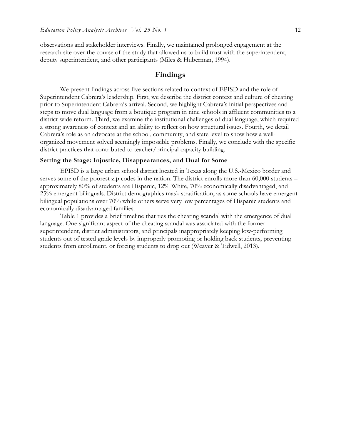observations and stakeholder interviews. Finally, we maintained prolonged engagement at the research site over the course of the study that allowed us to build trust with the superintendent, deputy superintendent, and other participants (Miles & Huberman, 1994).

# **Findings**

We present findings across five sections related to context of EPISD and the role of Superintendent Cabrera's leadership. First, we describe the district context and culture of cheating prior to Superintendent Cabrera's arrival. Second, we highlight Cabrera's initial perspectives and steps to move dual language from a boutique program in nine schools in affluent communities to a district-wide reform. Third, we examine the institutional challenges of dual language, which required a strong awareness of context and an ability to reflect on how structural issues. Fourth, we detail Cabrera's role as an advocate at the school, community, and state level to show how a wellorganized movement solved seemingly impossible problems. Finally, we conclude with the specific district practices that contributed to teacher/principal capacity building.

#### **Setting the Stage: Injustice, Disappearances, and Dual for Some**

EPISD is a large urban school district located in Texas along the U.S.-Mexico border and serves some of the poorest zip codes in the nation. The district enrolls more than 60,000 students – approximately 80% of students are Hispanic, 12% White, 70% economically disadvantaged, and 25% emergent bilinguals. District demographics mask stratification, as some schools have emergent bilingual populations over 70% while others serve very low percentages of Hispanic students and economically disadvantaged families.

Table 1 provides a brief timeline that ties the cheating scandal with the emergence of dual language. One significant aspect of the cheating scandal was associated with the former superintendent, district administrators, and principals inappropriately keeping low-performing students out of tested grade levels by improperly promoting or holding back students, preventing students from enrollment, or forcing students to drop out (Weaver & Tidwell, 2013).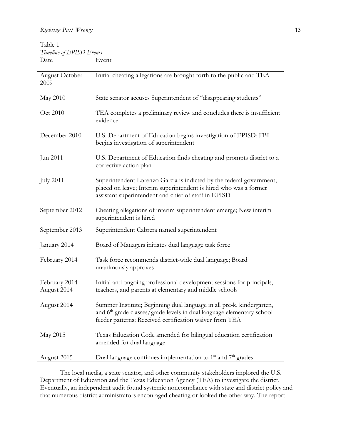Table 1 *Timeline of EPISD Events*

| Date                          | Event                                                                                                                                                                                                                 |
|-------------------------------|-----------------------------------------------------------------------------------------------------------------------------------------------------------------------------------------------------------------------|
| August-October<br>2009        | Initial cheating allegations are brought forth to the public and TEA                                                                                                                                                  |
| May 2010                      | State senator accuses Superintendent of "disappearing students"                                                                                                                                                       |
| Oct 2010                      | TEA completes a preliminary review and concludes there is insufficient<br>evidence                                                                                                                                    |
| December 2010                 | U.S. Department of Education begins investigation of EPISD; FBI<br>begins investigation of superintendent                                                                                                             |
| Jun 2011                      | U.S. Department of Education finds cheating and prompts district to a<br>corrective action plan                                                                                                                       |
| <b>July 2011</b>              | Superintendent Lorenzo Garcia is indicted by the federal government;<br>placed on leave; Interim superintendent is hired who was a former<br>assistant superintendent and chief of staff in EPISD                     |
| September 2012                | Cheating allegations of interim superintendent emerge; New interim<br>superintendent is hired                                                                                                                         |
| September 2013                | Superintendent Cabrera named superintendent                                                                                                                                                                           |
| January 2014                  | Board of Managers initiates dual language task force                                                                                                                                                                  |
| February 2014                 | Task force recommends district-wide dual language; Board<br>unanimously approves                                                                                                                                      |
| February 2014-<br>August 2014 | Initial and ongoing professional development sessions for principals,<br>teachers, and parents at elementary and middle schools                                                                                       |
| August 2014                   | Summer Institute; Beginning dual language in all pre-k, kindergarten,<br>and 6 <sup>th</sup> grade classes/grade levels in dual language elementary school<br>feeder patterns; Received certification waiver from TEA |
| May 2015                      | Texas Education Code amended for bilingual education certification<br>amended for dual language                                                                                                                       |
| August 2015                   | Dual language continues implementation to $1st$ and $7th$ grades                                                                                                                                                      |

The local media, a state senator, and other community stakeholders implored the U.S. Department of Education and the Texas Education Agency (TEA) to investigate the district. Eventually, an independent audit found systemic noncompliance with state and district policy and that numerous district administrators encouraged cheating or looked the other way. The report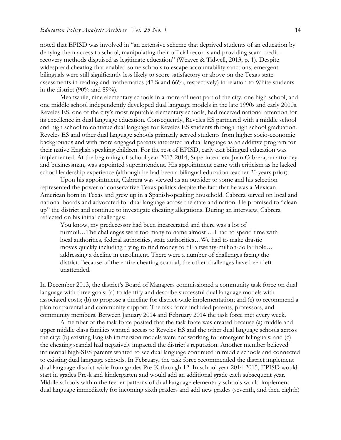noted that EPISD was involved in "an extensive scheme that deprived students of an education by denying them access to school, manipulating their official records and providing scam creditrecovery methods disguised as legitimate education" (Weaver & Tidwell, 2013, p. 1). Despite widespread cheating that enabled some schools to escape accountability sanctions, emergent bilinguals were still significantly less likely to score satisfactory or above on the Texas state assessments in reading and mathematics (47% and 66%, respectively) in relation to White students in the district (90% and 89%).

Meanwhile, nine elementary schools in a more affluent part of the city, one high school, and one middle school independently developed dual language models in the late 1990s and early 2000s. Reveles ES, one of the city's most reputable elementary schools, had received national attention for its excellence in dual language education. Consequently, Reveles ES partnered with a middle school and high school to continue dual language for Reveles ES students through high school graduation. Reveles ES and other dual language schools primarily served students from higher socio-economic backgrounds and with more engaged parents interested in dual language as an additive program for their native English speaking children. For the rest of EPISD, early exit bilingual education was implemented. At the beginning of school year 2013-2014, Superintendent Juan Cabrera, an attorney and businessman, was appointed superintendent. His appointment came with criticism as he lacked school leadership experience (although he had been a bilingual education teacher 20 years prior).

Upon his appointment, Cabrera was viewed as an outsider to some and his selection represented the power of conservative Texas politics despite the fact that he was a Mexican-American born in Texas and grew up in a Spanish-speaking household. Cabrera served on local and national boards and advocated for dual language across the state and nation. He promised to "clean up" the district and continue to investigate cheating allegations. During an interview, Cabrera reflected on his initial challenges:

You know, my predecessor had been incarcerated and there was a lot of turmoil…The challenges were too many to name almost …I had to spend time with local authorities, federal authorities, state authorities…We had to make drastic moves quickly including trying to find money to fill a twenty-million-dollar hole… addressing a decline in enrollment. There were a number of challenges facing the district. Because of the entire cheating scandal, the other challenges have been left unattended.

In December 2013, the district's Board of Managers commissioned a community task force on dual language with three goals: (a) to identify and describe successful dual language models with associated costs; (b) to propose a timeline for district-wide implementation; and (c) to recommend a plan for parental and community support. The task force included parents, professors, and community members. Between January 2014 and February 2014 the task force met every week.

A member of the task force posited that the task force was created because (a) middle and upper middle class families wanted access to Reveles ES and the other dual language schools across the city; (b) existing English immersion models were not working for emergent bilinguals; and (c) the cheating scandal had negatively impacted the district's reputation. Another member believed influential high-SES parents wanted to see dual language continued in middle schools and connected to existing dual language schools. In February, the task force recommended the district implement dual language district-wide from grades Pre-K through 12. In school year 2014-2015, EPISD would start in grades Pre-k and kindergarten and would add an additional grade each subsequent year. Middle schools within the feeder patterns of dual language elementary schools would implement dual language immediately for incoming sixth graders and add new grades (seventh, and then eighth)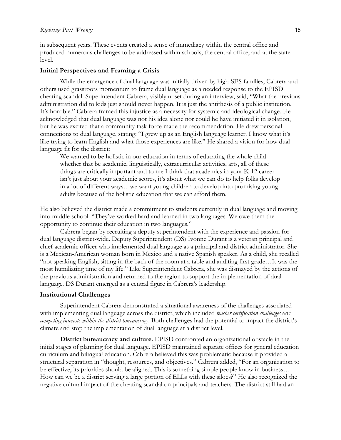in subsequent years. These events created a sense of immediacy within the central office and produced numerous challenges to be addressed within schools, the central office, and at the state level.

## **Initial Perspectives and Framing a Crisis**

While the emergence of dual language was initially driven by high-SES families, Cabrera and others used grassroots momentum to frame dual language as a needed response to the EPISD cheating scandal. Superintendent Cabrera, visibly upset during an interview, said, "What the previous administration did to kids just should never happen. It is just the antithesis of a public institution. It's horrible." Cabrera framed this injustice as a necessity for systemic and ideological change. He acknowledged that dual language was not his idea alone nor could he have initiated it in isolation, but he was excited that a community task force made the recommendation. He drew personal connections to dual language, stating: "I grew up as an English language learner. I know what it's like trying to learn English and what those experiences are like." He shared a vision for how dual language fit for the district:

We wanted to be holistic in our education in terms of educating the whole child whether that be academic, linguistically, extracurricular activities, arts, all of these things are critically important and to me I think that academics in your K-12 career isn't just about your academic scores, it's about what we can do to help folks develop in a lot of different ways…we want young children to develop into promising young adults because of the holistic education that we can afford them.

He also believed the district made a commitment to students currently in dual language and moving into middle school: "They've worked hard and learned in two languages. We owe them the opportunity to continue their education in two languages."

Cabrera began by recruiting a deputy superintendent with the experience and passion for dual language district-wide. Deputy Superintendent (DS) Ivonne Durant is a veteran principal and chief academic officer who implemented dual language as a principal and district administrator. She is a Mexican-American woman born in Mexico and a native Spanish speaker. As a child, she recalled "not speaking English, sitting in the back of the room at a table and auditing first grade…It was the most humiliating time of my life." Like Superintendent Cabrera, she was dismayed by the actions of the previous administration and returned to the region to support the implementation of dual language. DS Durant emerged as a central figure in Cabrera's leadership.

#### **Institutional Challenges**

Superintendent Cabrera demonstrated a situational awareness of the challenges associated with implementing dual language across the district, which included *teacher certification challenges* and *competing interests within the district bureaucracy*. Both challenges had the potential to impact the district's climate and stop the implementation of dual language at a district level.

**District bureaucracy and culture.** EPISD confronted an organizational obstacle in the initial stages of planning for dual language. EPISD maintained separate offices for general education curriculum and bilingual education. Cabrera believed this was problematic because it provided a structural separation in "thought, resources, and objectives." Cabrera added, "For an organization to be effective, its priorities should be aligned. This is something simple people know in business… How can we be a district serving a large portion of ELLs with these siloes?" He also recognized the negative cultural impact of the cheating scandal on principals and teachers. The district still had an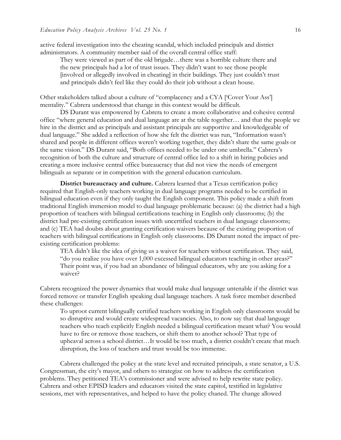active federal investigation into the cheating scandal, which included principals and district administrators. A community member said of the overall central office staff:

They were viewed as part of the old brigade…there was a horrible culture there and the new principals had a lot of trust issues. They didn't want to see those people [involved or allegedly involved in cheating] in their buildings. They just couldn't trust and principals didn't feel like they could do their job without a clean house.

Other stakeholders talked about a culture of "complacency and a CYA ['Cover Your Ass'] mentality." Cabrera understood that change in this context would be difficult.

DS Durant was empowered by Cabrera to create a more collaborative and cohesive central office "where general education and dual language are at the table together… and that the people we hire in the district and as principals and assistant principals are supportive and knowledgeable of dual language." She added a reflection of how she felt the district was run, "Information wasn't shared and people in different offices weren't working together, they didn't share the same goals or the same vision." DS Durant said, "Both offices needed to be under one umbrella." Cabrera's recognition of both the culture and structure of central office led to a shift in hiring policies and creating a more inclusive central office bureaucracy that did not view the needs of emergent bilinguals as separate or in competition with the general education curriculum.

**District bureaucracy and culture.** Cabrera learned that a Texas certification policy required that English-only teachers working in dual language programs needed to be certified in bilingual education even if they only taught the English component. This policy made a shift from traditional English immersion model to dual language problematic because: (a) the district had a high proportion of teachers with bilingual certifications teaching in English only classrooms; (b) the district had pre-existing certification issues with uncertified teachers in dual language classrooms; and (c) TEA had doubts about granting certification waivers because of the existing proportion of teachers with bilingual certifications in English only classrooms. DS Durant noted the impact of preexisting certification problems:

TEA didn't like the idea of giving us a waiver for teachers without certification. They said, "do you realize you have over 1,000 excessed bilingual educators teaching in other areas?" Their point was, if you had an abundance of bilingual educators, why are you asking for a waiver?

Cabrera recognized the power dynamics that would make dual language untenable if the district was forced remove or transfer English speaking dual language teachers. A task force member described these challenges:

To uproot current bilingually certified teachers working in English only classrooms would be so disruptive and would create widespread vacancies. Also, to now say that dual language teachers who teach explicitly English needed a bilingual certification meant what? You would have to fire or remove those teachers, or shift them to another school? That type of upheaval across a school district…It would be too much, a district couldn't create that much disruption, the loss of teachers and trust would be too immense.

Cabrera challenged the policy at the state level and recruited principals, a state senator, a U.S. Congressman, the city's mayor, and others to strategize on how to address the certification problems. They petitioned TEA's commissioner and were advised to help rewrite state policy. Cabrera and other EPISD leaders and educators visited the state capitol, testified in legislative sessions, met with representatives, and helped to have the policy chaned. The change allowed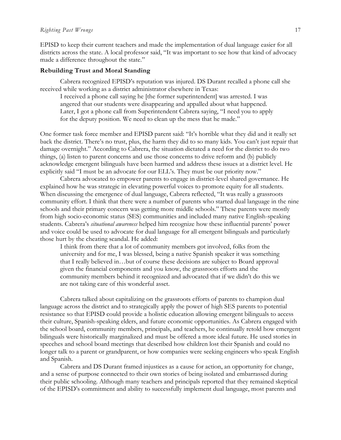EPISD to keep their current teachers and made the implementation of dual language easier for all districts across the state. A local professor said, "It was important to see how that kind of advocacy made a difference throughout the state."

## **Rebuilding Trust and Moral Standing**

Cabrera recognized EPISD's reputation was injured. DS Durant recalled a phone call she received while working as a district administrator elsewhere in Texas:

I received a phone call saying he [the former superintendent] was arrested. I was angered that our students were disappearing and appalled about what happened. Later, I got a phone call from Superintendent Cabrera saying, "I need you to apply for the deputy position. We need to clean up the mess that he made."

One former task force member and EPISD parent said: "It's horrible what they did and it really set back the district. There's no trust, plus, the harm they did to so many kids. You can't just repair that damage overnight." According to Cabrera, the situation dictated a need for the district to do two things, (a) listen to parent concerns and use those concerns to drive reform and (b) publicly acknowledge emergent bilinguals have been harmed and address these issues at a district level. He explicitly said "I must be an advocate for our ELL's. They must be our priority now."

Cabrera advocated to empower parents to engage in district-level shared governance. He explained how he was strategic in elevating powerful voices to promote equity for all students. When discussing the emergence of dual language, Cabrera reflected, "It was really a grassroots community effort. I think that there were a number of parents who started dual language in the nine schools and their primary concern was getting more middle schools." These parents were mostly from high socio-economic status (SES) communities and included many native English-speaking students. Cabrera's *situational awareness* helped him recognize how these influential parents' power and voice could be used to advocate for dual language for all emergent bilinguals and particularly those hurt by the cheating scandal. He added:

I think from there that a lot of community members got involved, folks from the university and for me, I was blessed, being a native Spanish speaker it was something that I really believed in…but of course these decisions are subject to Board approval given the financial components and you know, the grassroots efforts and the community members behind it recognized and advocated that if we didn't do this we are not taking care of this wonderful asset.

Cabrera talked about capitalizing on the grassroots efforts of parents to champion dual language across the district and to strategically apply the power of high SES parents to potential resistance so that EPISD could provide a holistic education allowing emergent bilinguals to access their culture, Spanish-speaking elders, and future economic opportunities. As Cabrera engaged with the school board, community members, principals, and teachers, he continually retold how emergent bilinguals were historically marginalized and must be offered a more ideal future. He used stories in speeches and school board meetings that described how children lost their Spanish and could no longer talk to a parent or grandparent, or how companies were seeking engineers who speak English and Spanish.

Cabrera and DS Durant framed injustices as a cause for action, an opportunity for change, and a sense of purpose connected to their own stories of being isolated and embarrassed during their public schooling. Although many teachers and principals reported that they remained skeptical of the EPISD's commitment and ability to successfully implement dual language, most parents and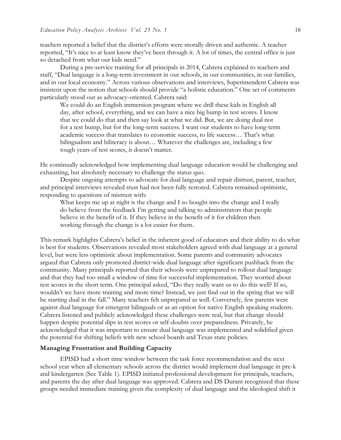teachers reported a belief that the district's efforts were morally driven and authentic. A teacher reported, "It's nice to at least know they've been through it. A lot of times, the central office is just so detached from what our kids need."

During a pre-service training for all principals in 2014, Cabrera explained to teachers and staff, "Dual language is a long-term investment in our schools, in our communities, in our families, and in our local economy." Across various observations and interviews, Superintendent Cabrera was insistent upon the notion that schools should provide "a holistic education." One set of comments particularly stood out as advocacy-oriented. Cabrera said:

We could do an English immersion program where we drill these kids in English all day, after school, everything, and we can have a nice big bump in test scores. I know that we could do that and then say look at what we did. But, we are doing dual not for a test bump, but for the long-term success. I want our students to have long-term academic success that translates to economic success, to life success… That's what bilingualism and biliteracy is about… Whatever the challenges are, including a few tough years of test scores, it doesn't matter.

He continually acknowledged how implementing dual language education would be challenging and exhausting, but absolutely necessary to challenge the status quo.

Despite ongoing attempts to advocate for dual language and repair distrust, parent, teacher, and principal interviews revealed trust had not been fully restored. Cabrera remained optimistic, responding to questions of mistrust with:

What keeps me up at night is the change and I so bought into the change and I really do believe from the feedback I'm getting and talking to administrators that people believe in the benefit of it. If they believe in the benefit of it for children then working through the change is a lot easier for them.

This remark highlights Cabrera's belief in the inherent good of educators and their ability to do what is best for students. Observations revealed most stakeholders agreed with dual language at a general level, but were less optimistic about implementation. Some parents and community advocates argued that Cabrera only promoted district-wide dual language after significant pushback from the community. Many principals reported that their schools were unprepared to rollout dual language and that they had too small a window of time for successful implementation. They worried about test scores in the short term. One principal asked, "Do they really want us to do this well? If so, wouldn't we have more training and more time? Instead, we just find out in the spring that we will be starting dual in the fall." Many teachers felt unprepared as well. Conversely, few parents were against dual language for emergent bilinguals or as an option for native English speaking students. Cabrera listened and publicly acknowledged these challenges were real, but that change should happen despite potential dips in test scores or self-doubts over preparedness. Privately, he acknowledged that it was important to ensure dual language was implemented and solidified given the potential for shifting beliefs with new school boards and Texas state policies.

## **Managing Frustration and Building Capacity**

EPISD had a short time window between the task force recommendation and the next school year when all elementary schools across the district would implement dual language in pre-k and kindergarten (See Table 1). EPISD initiated professional development for principals, teachers, and parents the day after dual language was approved. Cabrera and DS Durant recognized that these groups needed immediate training given the complexity of dual language and the ideological shift it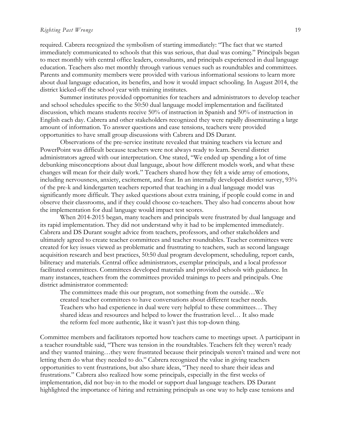### $Righting$  *Past Wrongs* 19

required. Cabrera recognized the symbolism of starting immediately: "The fact that we started immediately communicated to schools that this was serious, that dual was coming." Principals began to meet monthly with central office leaders, consultants, and principals experienced in dual language education. Teachers also met monthly through various venues such as roundtables and committees. Parents and community members were provided with various informational sessions to learn more about dual language education, its benefits, and how it would impact schooling. In August 2014, the district kicked-off the school year with training institutes.

Summer institutes provided opportunities for teachers and administrators to develop teacher and school schedules specific to the 50:50 dual language model implementation and facilitated discussion, which means students receive 50% of instruction in Spanish and 50% of instruction in English each day. Cabrera and other stakeholders recognized they were rapidly disseminating a large amount of information. To answer questions and ease tensions, teachers were provided opportunities to have small group discussions with Cabrera and DS Durant.

Observations of the pre-service institute revealed that training teachers via lecture and PowerPoint was difficult because teachers were not always ready to learn. Several district administrators agreed with our interpretation. One stated, "We ended up spending a lot of time debunking misconceptions about dual language, about how different models work, and what these changes will mean for their daily work." Teachers shared how they felt a wide array of emotions, including nervousness, anxiety, excitement, and fear. In an internally developed district survey, 93% of the pre-k and kindergarten teachers reported that teaching in a dual language model was significantly more difficult. They asked questions about extra training, if people could come in and observe their classrooms, and if they could choose co-teachers. They also had concerns about how the implementation for dual language would impact test scores.

When 2014-2015 began, many teachers and principals were frustrated by dual language and its rapid implementation. They did not understand why it had to be implemented immediately. Cabrera and DS Durant sought advice from teachers, professors, and other stakeholders and ultimately agreed to create teacher committees and teacher roundtables. Teacher committees were created for key issues viewed as problematic and frustrating to teachers, such as second language acquisition research and best practices, 50:50 dual program development, scheduling, report cards, biliteracy and materials. Central office administrators, exemplar principals, and a local professor facilitated committees. Committees developed materials and provided schools with guidance. In many instances, teachers from the committees provided trainings to peers and principals. One district administrator commented:

The committees made this our program, not something from the outside…We created teacher committees to have conversations about different teacher needs. Teachers who had experience in dual were very helpful to these committees… They shared ideas and resources and helped to lower the frustration level… It also made the reform feel more authentic, like it wasn't just this top-down thing.

Committee members and facilitators reported how teachers came to meetings upset. A participant in a teacher roundtable said, "There was tension in the roundtables. Teachers felt they weren't ready and they wanted training…they were frustrated because their principals weren't trained and were not letting them do what they needed to do." Cabrera recognized the value in giving teachers opportunities to vent frustrations, but also share ideas, "They need to share their ideas and frustrations." Cabrera also realized how some principals, especially in the first weeks of implementation, did not buy-in to the model or support dual language teachers. DS Durant highlighted the importance of hiring and retraining principals as one way to help ease tensions and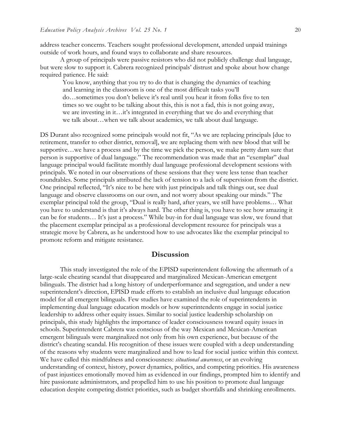address teacher concerns. Teachers sought professional development, attended unpaid trainings outside of work hours, and found ways to collaborate and share resources.

A group of principals were passive resistors who did not publicly challenge dual language, but were slow to support it. Cabrera recognized principals' distrust and spoke about how change required patience. He said:

You know, anything that you try to do that is changing the dynamics of teaching and learning in the classroom is one of the most difficult tasks you'll do…sometimes you don't believe it's real until you hear it from folks five to ten times so we ought to be talking about this, this is not a fad, this is not going away, we are investing in it…it's integrated in everything that we do and everything that we talk about…when we talk about academics, we talk about dual language.

DS Durant also recognized some principals would not fit, "As we are replacing principals [due to retirement, transfer to other district, removal], we are replacing them with new blood that will be supportive…we have a process and by the time we pick the person, we make pretty darn sure that person is supportive of dual language." The recommendation was made that an "exemplar" dual language principal would facilitate monthly dual language professional development sessions with principals. We noted in our observations of these sessions that they were less tense than teacher roundtables. Some principals attributed the lack of tension to a lack of supervision from the district. One principal reflected, "It's nice to be here with just principals and talk things out, see dual language and observe classrooms on our own, and not worry about speaking our minds." The exemplar principal told the group, "Dual is really hard, after years, we still have problems… What you have to understand is that it's always hard. The other thing is, you have to see how amazing it can be for students… It's just a process." While buy-in for dual language was slow, we found that the placement exemplar principal as a professional development resource for principals was a strategic move by Cabrera, as he understood how to use advocates like the exemplar principal to promote reform and mitigate resistance.

## **Discussion**

This study investigated the role of the EPISD superintendent following the aftermath of a large-scale cheating scandal that disappeared and marginalized Mexican-American emergent bilinguals. The district had a long history of underperformance and segregation, and under a new superintendent's direction, EPISD made efforts to establish an inclusive dual language education model for all emergent bilinguals. Few studies have examined the role of superintendents in implementing dual language education models or how superintendents engage in social justice leadership to address other equity issues. Similar to social justice leadership scholarship on principals, this study highlights the importance of leader consciousness toward equity issues in schools. Superintendent Cabrera was conscious of the way Mexican and Mexican-American emergent bilinguals were marginalized not only from his own experience, but because of the district's cheating scandal. His recognition of these issues were coupled with a deep understanding of the reasons why students were marginalized and how to lead for social justice within this context. We have called this mindfulness and consciousness: *situational awareness*, or an evolving understanding of context, history, power dynamics, politics, and competing priorities. His awareness of past injustices emotionally moved him as evidenced in our findings, prompted him to identify and hire passionate administrators, and propelled him to use his position to promote dual language education despite competing district priorities, such as budget shortfalls and shrinking enrollments.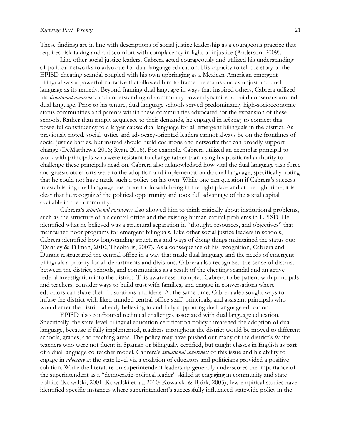These findings are in line with descriptions of social justice leadership as a courageous practice that requires risk-taking and a discomfort with complacency in light of injustice (Anderson, 2009).

Like other social justice leaders, Cabrera acted courageously and utilized his understanding of political networks to advocate for dual language education. His capacity to tell the story of the EPISD cheating scandal coupled with his own upbringing as a Mexican-American emergent bilingual was a powerful narrative that allowed him to frame the status quo as unjust and dual language as its remedy. Beyond framing dual language in ways that inspired others, Cabrera utilized his *situational awareness* and understanding of community power dynamics to build consensus around dual language. Prior to his tenure, dual language schools served predominately high-socioeconomic status communities and parents within these communities advocated for the expansion of these schools. Rather than simply acquiesce to their demands, he engaged in *advocacy* to connect this powerful constituency to a larger cause: dual language for all emergent bilinguals in the district. As previously noted, social justice and advocacy-oriented leaders cannot always be on the frontlines of social justice battles, but instead should build coalitions and networks that can broadly support change (DeMatthews, 2016; Ryan, 2016). For example, Cabrera utilized an exemplar principal to work with principals who were resistant to change rather than using his positional authority to challenge these principals head on. Cabrera also acknowledged how vital the dual language task force and grassroots efforts were to the adoption and implementation do dual language, specifically noting that he could not have made such a policy on his own. While one can question if Cabrera's success in establishing dual language has more to do with being in the right place and at the right time, it is clear that he recognized the political opportunity and took full advantage of the social capital available in the community.

Cabrera's *situational awareness* also allowed him to think critically about institutional problems, such as the structure of his central office and the existing human capital problems in EPISD. He identified what he believed was a structural separation in "thought, resources, and objectives" that maintained poor programs for emergent bilinguals. Like other social justice leaders in schools, Cabrera identified how longstanding structures and ways of doing things maintained the status quo (Dantley & Tillman, 2010; Theoharis, 2007). As a consequence of his recognition, Cabrera and Durant restructured the central office in a way that made dual language and the needs of emergent bilinguals a priority for all departments and divisions. Cabrera also recognized the sense of distrust between the district, schools, and communities as a result of the cheating scandal and an active federal investigation into the district. This awareness prompted Cabrera to be patient with principals and teachers, consider ways to build trust with families, and engage in conversations where educators can share their frustrations and ideas. At the same time, Cabrera also sought ways to infuse the district with liked-minded central office staff, principals, and assistant principals who would enter the district already believing in and fully supporting dual language education.

EPISD also confronted technical challenges associated with dual language education. Specifically, the state-level bilingual education certification policy threatened the adoption of dual language, because if fully implemented, teachers throughout the district would be moved to different schools, grades, and teaching areas. The policy may have pushed out many of the district's White teachers who were not fluent in Spanish or bilingually certified, but taught classes in English as part of a dual language co-teacher model. Cabrera's *situational awareness* of this issue and his ability to engage in *advocacy* at the state level via a coalition of educators and politicians provided a positive solution. While the literature on superintendent leadership generally underscores the importance of the superintendent as a "democratic-political leader" skilled at engaging in community and state politics (Kowalski, 2001; Kowalski et al., 2010; Kowalski & Björk, 2005), few empirical studies have identified specific instances where superintendent's successfully influenced statewide policy in the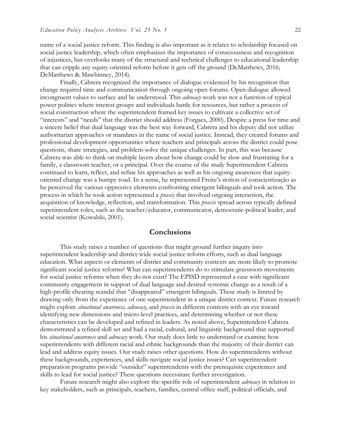name of a social justice reform. This finding is also important as it relates to scholarship focused on social justice leadership, which often emphasizes the importance of consciousness and recognition of injustices, but overlooks many of the structural and technical challenges to educational leadership that can cripple any equity-oriented reform before it gets off the ground (DeMatthews, 2016; DeMatthews & Mawhinney, 2014).

Finally, Cabrera recognized the importance of dialogue evidenced by his recognition that change required time and communication through ongoing open forums. Open dialogue allowed incongruent values to surface and be understood. This *advocacy* work was not a function of typical power politics where interest groups and individuals battle for resources, but rather a process of social construction where the superintendent framed key issues to cultivate a collective set of "interests" and "needs" that the district should address (Forgacs, 2000). Despite a press for time and a sincere belief that dual language was the best way forward, Cabrera and his deputy did not utilize authoritarian approaches or mandates in the name of social justice. Instead, they created forums and professional development opportunities where teachers and principals across the district could pose questions, share strategies, and problem-solve the unique challenges. In part, this was because Cabrera was able to think on multiple layers about how change could be slow and frustrating for a family, a classroom teacher, or a principal. Over the course of the study Superintendent Cabrera continued to learn, reflect, and refine his approaches as well as his ongoing awareness that equityoriented change was a bumpy road. In a sense, he represented Freire's notion of conscientização as he perceived the various oppressive elements confronting emergent bilinguals and took action. The process in which he took action represented a *praxis* that involved ongoing interaction, the acquisition of knowledge, reflection, and transformation. This *praxis* spread across typically defined superintendent roles, such as the teacher/educator, communicator, democratic-political leader, and social scientist (Kowalski, 2001).

## **Conclusions**

This study raises a number of questions that might ground further inquiry into superintendent leadership and district-wide social justice reform efforts, such as dual language education. What aspects or elements of district and community contexts are more likely to promote significant social justice reforms? What can superintendents do to stimulate grassroots movements for social justice reforms when they do not exist? The EPISD represented a case with significant community engagement in support of dual language and desired systemic change as a result of a high-profile cheating scandal that "disappeared" emergent bilinguals. These study is limited by drawing only from the experience of one superintendent in a unique district context. Future research might explore *situational awareness, advocacy*, and *praxis* in different contexts with an eye toward identifying new dimensions and micro-level practices, and determining whether or not these characteristics can be developed and refined in leaders. As noted above, Superintendent Cabrera demonstrated a refined skill set and had a racial, cultural, and linguistic background that supported his *situational awareness* and *advocacy* work. Our study does little to understand or examine how superintendents with different racial and ethnic backgrounds than the majority of their district can lead and address equity issues. Our study raises other questions. How do superintendents without these backgrounds, experiences, and skills navigate social justice issues? Can superintendent preparation programs provide "outsider" superintendents with the prerequisite experiences and skills to lead for social justice? These questions necessitate further investigation.

Future research might also explore the specific role of superintendent *advocacy* in relation to key stakeholders, such as principals, teachers, families, central office staff, political officials, and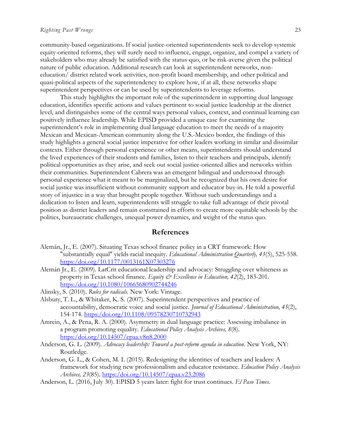community-based organizations. If social justice-oriented superintendents seek to develop systemic equity-oriented reforms, they will surely need to influence, engage, organize, and compel a variety of stakeholders who may already be satisfied with the status-quo, or be risk-averse given the political nature of public education. Additional research can look at superintendent networks, noneducation/ district related work activities, non-profit board membership, and other political and quasi-political aspects of the superintendency to explore how, if at all, these networks shape superintendent perspectives or can be used by superintendents to leverage reforms.

This study highlights the important role of the superintendent in supporting dual language education, identifies specific actions and values pertinent to social justice leadership at the district level, and distinguishes some of the central ways personal values, context, and continual learning can positively influence leadership. While EPISD provided a unique case for examining the superintendent's role in implementing dual language education to meet the needs of a majority Mexican and Mexican-American community along the U.S.-Mexico border, the findings of this study highlights a general social justice imperative for other leaders working in similar and dissimilar contexts. Either through personal experience or other means, superintendents should understand the lived experiences of their students and families, listen to their teachers and principals, identify political opportunities as they arise, and seek out social justice-oriented allies and networks within their communities. Superintendent Cabrera was an emergent bilingual and understood through personal experience what it meant to be marginalized, but he recognized that his own desire for social justice was insufficient without community support and educator buy-in. He told a powerful story of injustice in a way that brought people together. Without such understandings and a dedication to listen and learn, superintendents will struggle to take full advantage of their pivotal position as district leaders and remain constrained in efforts to create more equitable schools by the politics, bureaucratic challenges, unequal power dynamics, and weight of the status quo.

# **References**

- Alemán, Jr., E. (2007). Situating Texas school finance policy in a CRT framework: How "substantially equal" yields racial inequity. *Educational Administration Quarterly, 43*(5), 525-558. [https:/doi.org/10.1177/0013161X07303276](https://doi.org/10.1177/0013161X07303276)
- Alemán Jr., E. (2009). LatCrit educational leadership and advocacy: Struggling over whiteness as property in Texas school finance. Equity & Excellence in Education, 42(2), 183-201. [https:/doi.org/10.1080/10665680902744246](https://doi.org/10.1080/10665680902744246)
- Alinsky, S. (2010). *Rules for radicals.* New York: Vintage.
- Alsbury, T. L., & Whitaker, K. S. (2007). Superintendent perspectives and practice of accountability, democratic voice and social justice. *Journal of Educational Administration, 45*(2), 154-174. [https:/doi.org/10.1108/09578230710732943](https://doi.org/10.1108/09578230710732943)
- Amrein, A., & Pena, R. A. (2000). Asymmetry in dual language practice: Assessing imbalance in a program promoting equality. *Educational Policy Analysis Archives, 8*(8). [https:/doi.org/10.14507/epaa.v8n8.2000](https://doi.org/10.14507/epaa.v8n8.2000)
- Anderson, G. L. (2009). *Advocacy leadership: Toward a post-reform agenda in education*. New York, NY: Routledge.
- Anderson, G. L., & Cohen, M. I. (2015). Redesigning the identities of teachers and leaders: A framework for studying new professionalism and educator resistance. *Education Policy Analysis Archives, 23*(85). [https:/doi.org/10.14507/epaa.v23.2086](https://doi.org/10.14507/epaa.v23.2086)
- Anderson, L. (2016, July 30). EPISD 5 years later: fight for trust continues. *El Paso Times.*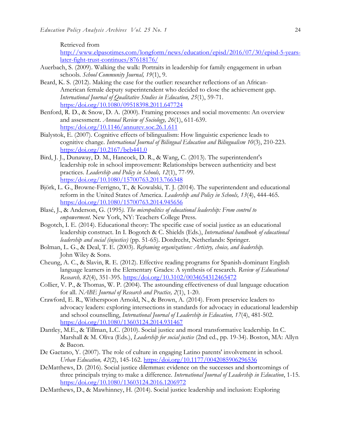Retrieved from

[http://www.elpasotimes.com/longform/news/education/episd/2016/07/30/episd-5-years](http://www.elpasotimes.com/longform/news/education/episd/2016/07/30/episd-5-years-later-fight-trust-continues/87618176/)[later-fight-trust-continues/87618176/](http://www.elpasotimes.com/longform/news/education/episd/2016/07/30/episd-5-years-later-fight-trust-continues/87618176/)

- Auerbach, S. (2009). Walking the walk: Portraits in leadership for family engagement in urban schools. *School Community Journal, 19*(1), 9.
- Beard, K. S. (2012). Making the case for the outlier: researcher reflections of an African-American female deputy superintendent who decided to close the achievement gap. *International Journal of Qualitative Studies in Education, 25*(1), 59-71. [https:/doi.org/10.1080/09518398.2011.647724](https://doi.org/10.1080/09518398.2011.647724)
- Benford, R. D., & Snow, D. A. (2000). Framing processes and social movements: An overview and assessment. *Annual Review of Sociology, 26*(1), 611-639. [https:/doi.org/10.1146/annurev.soc.26.1.611](https://doi.org/10.1146/annurev.soc.26.1.611)
- Bialystok, E. (2007). Cognitive effects of bilingualism: How linguistic experience leads to cognitive change. *International Journal of Bilingual Education and Bilingualism 10*(3), 210-223. [https:/doi.org/10.2167/beb441.0](https://doi.org/10.2167/beb441.0)
- Bird, J. J., Dunaway, D. M., Hancock, D. R., & Wang, C. (2013). The superintendent's leadership role in school improvement: Relationships between authenticity and best practices. *Leadership and Policy in Schools, 12*(1), 77-99. [https:/doi.org/10.1080/15700763.2013.766348](https://doi.org/10.1080/15700763.2013.766348)
- Björk, L. G., Browne-Ferrigno, T., & Kowalski, T. J. (2014). The superintendent and educational reform in the United States of America. *Leadership and Policy in Schools, 13*(4), 444-465. [https:/doi.org/10.1080/15700763.2014.945656](https://doi.org/10.1080/15700763.2014.945656)
- Blasé, J., & Anderson, G. (1995*). The micropolitics of educational leadership: From control to empowerment*. New York, NY: Teachers College Press.
- Bogotch, I. E. (2014). Educational theory: The specific case of social justice as an educational leadership construct. In I. Bogotch & C. Shields (Eds.), *International handbook of educational leadership and social (injustice)* (pp. 51-65). Dordrecht, Netherlands: Springer.
- Bolman, L. G., & Deal, T. E. (2003). *Reframing organizations: Artistry, choice, and leadership.* John Wiley & Sons.
- Cheung, A. C., & Slavin, R. E. (2012). Effective reading programs for Spanish-dominant English language learners in the Elementary Grades: A synthesis of research. *Review of Educational Research, 82*(4), 351-395. [https:/doi.org/10.3102/0034654312465472](https://doi.org/10.3102/0034654312465472)
- Collier, V. P., & Thomas, W. P. (2004). The astounding effectiveness of dual language education for all. *NABE Journal of Research and Practice, 2*(1), 1-20.
- Crawford, E. R., Witherspoon Arnold, N., & Brown, A. (2014). From preservice leaders to advocacy leaders: exploring intersections in standards for advocacy in educational leadership and school counselling, *International Journal of Leadership in Education, 17*(4), 481-502. [https:/doi.org/10.1080/13603124.2014.931467](https://doi.org/10.1080/13603124.2014.931467)
- Dantley, M.E., & Tillman, L.C. (2010). Social justice and moral transformative leadership. In C. Marshall & M. Oliva (Eds.), *Leadership for social justice* (2nd ed., pp. 19-34). Boston, MA: Allyn & Bacon.
- De Gaetano, Y. (2007). The role of culture in engaging Latino parents' involvement in school. *Urban Education, 42*(2), 145-162. [https:/doi.org/10.1177/0042085906296536](https://doi.org/10.1177/0042085906296536)
- DeMatthews, D. (2016). Social justice dilemmas: evidence on the successes and shortcomings of three principals trying to make a difference*. International Journal of Leadership in Education*, 1-15. [https:/doi.org/10.1080/13603124.2016.1206972](https://doi.org/10.1080/13603124.2016.1206972)
- DeMatthews, D., & Mawhinney, H. (2014). Social justice leadership and inclusion: Exploring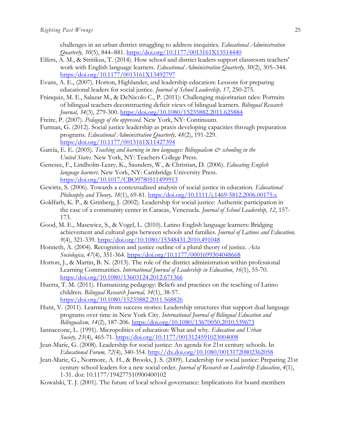challenges in an urban district struggling to address inequities. *Educational Administration Quarterly, 50*(5), 844–881. [https:/doi.org/10.1177/0013161X13514440](https://doi.org/10.1177/0013161X13514440)

- Elfers, A. M., & Stritikus, T. (2014). How school and district leaders support classroom teachers' work with English language learners. *Educational Administration Quarterly, 50*(2), 305–344. [https:/doi.org/10.1177/0013161X13492797](https://doi.org/10.1177/0013161X13492797)
- Evans, A. E., (2007). Horton, Highlander, and leadership education: Lessons for preparing educational leaders for social justice. *Journal of School Leadership, 17*, 250-275.
- Fránquiz, M. E., Salazar M., & DeNicolo C., P. (2011): Challenging majoritarian tales: Portraits of bilingual teachers deconstructing deficit views of bilingual learners. *Bilingual Research Journal, 34*(3), 279-300. [https:/doi.org/10.1080/15235882.2011.625884](https://doi.org/10.1080/15235882.2011.625884)
- Freire, P. (2007). *Pedagogy of the oppressed*. New York, NY: Continuum.
- Furman, G. (2012). Social justice leadership as praxis developing capacities through preparation programs. *Educational Administration Quarterly, 48*(2), 191-229. [https:/doi.org/10.1177/0013161X11427394](https://doi.org/10.1177/0013161X11427394)
- García, E. E. (2005). *Teaching and learning in two languages: Bilingualism*  $\mathcal{O}^s$  *schooling in the United States*. New York, NY: Teachers College Press.
- Genesee, F., Lindholm-Leary, K., Saunders, W., & Christian, D. (2006). *Educating English language learners*. New York, NY: Cambridge University Press. [https:/doi.org/10.1017/CBO9780511499913](https://doi.org/10.1017/CBO9780511499913)
- Gewirtz, S. (2006). Towards a contextualized analysis of social justice in education. *Educational Philosophy and Theory, 38*(1), 69-81. [https:/doi.org/10.1111/j.1469-5812.2006.00175.x](https://doi.org/10.1111/j.1469-5812.2006.00175.x)
- Goldfarb, K. P., & Grinberg, J. (2002). Leadership for social justice: Authentic participation in the case of a community center in Caracas, Venezuela. *Journal of School Leadership, 12*, 157- 173.
- Good, M. E., Masewicz, S., & Vogel, L. (2010). Latino English language learners: Bridging achievement and cultural gaps between schools and families*. Journal of Latinos and Education, 9*(4), 321-339. [https:/doi.org/10.1080/15348431.2010.491048](https://doi.org/10.1080/15348431.2010.491048)
- Honneth, A. (2004). Recognition and justice outline of a plural theory of justice. *Acta Sociologica, 47*(4), 351-364. [https:/doi.org/10.1177/0001699304048668](https://doi.org/10.1177/0001699304048668)
- Horton, J., & Martin, B. N. (2013). The role of the district administration within professional Learning Communities. *International Journal of Leadership in Education, 16*(1), 55-70. [https:/doi.org/10.1080/13603124.2012.671366](https://doi.org/10.1080/13603124.2012.671366)
- Huerta, T. M. (2011). Humanizing pedagogy: Beliefs and practices on the teaching of Latino children. *Bilingual Research Journal, 34*(1), 38-57. [https:/doi.org/10.1080/15235882.2011.568826](https://doi.org/10.1080/15235882.2011.568826)
- Hunt, V. (2011). Learning from success stories: Leadership structures that support dual language programs over time in New York City. *International Journal of Bilingual Education and Bilingualism, 14*(2), 187-206. [https:/doi.org/10.1080/13670050.2010.539673](https://doi.org/10.1080/13670050.2010.539673)
- Iannaccone, L. (1991). Micropolitics of education: What and why. *Education and Urban Society, 23*(4), 465-71. [https:/doi.org/10.1177/0013124591023004008](https://doi.org/10.1177/0013124591023004008)
- Jean-Marie, G. (2008). Leadership for social justice: An agenda for 21st century schools. In *Educational Forum, 72*(4), 340-354.<http://dx.doi.org/10.1080/00131720802362058>
- Jean-Marie, G., Normore, A. H., & Brooks, J. S. (2009). Leadership for social justice: Preparing 21st century school leaders for a new social order. *Journal of Research on Leadership Education*, *4*(1), 1-31. doi: 10.1177/194277510900400102
- Kowalski, T. J. (2001). The future of local school governance: Implications for board members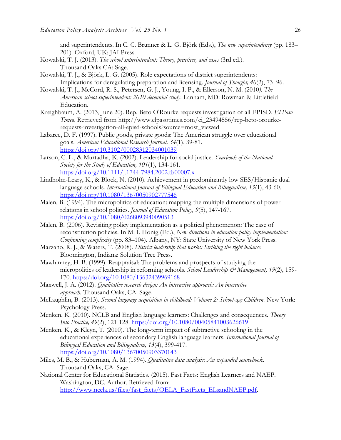- and superintendents. In C. C. Brunner & L. G. Björk (Eds.), *The new superintendency* (pp. 183– 201). Oxford, UK: JAI Press.
- Kowalski, T. J. (2013). *The school superintendent: Theory, practices, and cases* (3rd ed.). Thousand Oaks CA: Sage.
- Kowalski, T. J., & Björk, L. G. (2005). Role expectations of district superintendents: Implications for deregulating preparation and licensing. *Journal of Thought, 40*(2), 73–96.
- Kowalski, T. J., McCord, R. S., Petersen, G. J., Young, I. P., & Ellerson, N. M. (2010*). The American school superintendent: 2010 decennial study*. Lanham, MD: Rowman & Littlefield Education.
- Kreighbaum, A. (2013, June 20). Rep. Beto O'Rourke requests investigation of all EPISD. *El Paso Time*s. Retrieved from http://www.elpasotimes.com/ci\_23494556/rep-beto-orourkerequests-investigation-all-episd-schools?source=most\_viewed
- Labaree, D. F. (1997). Public goods, private goods: The American struggle over educational goals. *American Educational Research Journal, 34*(1), 39-81. [https:/doi.org/10.3102/00028312034001039](https://doi.org/10.3102/00028312034001039)
- Larson, C. L., & Murtadha, K. (2002). Leadership for social justice. *Yearbook of the National Society for the Study of Education, 101*(1), 134-161. [https:/doi.org/10.1111/j.1744-7984.2002.tb00007.x](https://doi.org/10.1111/j.1744-7984.2002.tb00007.x)
- Lindholm-Leary, K., & Block, N. (2010). Achievement in predominantly low SES/Hispanic dual language schools*. International Journal of Bilingual Education and Bilingualism, 13*(1), 43-60. [https:/doi.org/10.1080/13670050902777546](https://doi.org/10.1080/13670050902777546)
- Malen, B. (1994). The micropolitics of education: mapping the multiple dimensions of power relations in school polities. *Journal of Education Policy, 9*(5), 147-167. [https:/doi.org/10.1080/0268093940090513](https://doi.org/10.1080/0268093940090513)
- Malen, B. (2006). Revisiting policy implementation as a political phenomenon: The case of reconstitution policies. In M. I. Honig (Ed.), *New directions in education policy implementation: Confronting complexity* (pp. 83–104). Albany, NY: State University of New York Press.
- Marzano, R. J., & Waters, T. (2008). *District leadership that works: Striking the right balance.*  Bloomington, Indiana: Solution Tree Press.
- Mawhinney, H. B. (1999). Reappraisal: The problems and prospects of studying the micropolitics of leadership in reforming schools*. School Leadership & Management, 19*(2), 159- 170. [https:/doi.org/10.1080/13632439969168](https://doi.org/10.1080/13632439969168)
- Maxwell, J. A. (2012). *Qualitative research design: An interactive approach: An interactive approach.* Thousand Oaks, CA: Sage.
- McLaughlin, B. (2013). *Second language acquisition in childhood: Volume 2: School-age Children.* New York: Psychology Press.
- Menken, K. (2010). NCLB and English language learners: Challenges and consequences. *Theory Into Practice, 49*(2), 121-128. [https:/doi.org/10.1080/00405841003626619](https://doi.org/10.1080/00405841003626619)
- Menken, K., & Kleyn, T. (2010). The long-term impact of subtractive schooling in the educational experiences of secondary English language learners. *International Journal of Bilingual Education and Bilingualism, 13*(4), 399-417. [https:/doi.org/10.1080/13670050903370143](https://doi.org/10.1080/13670050903370143)
- Miles, M. B., & Huberman, A. M. (1994). *Qualitative data analysis: An expanded sourcebook.* Thousand Oaks, CA: Sage.
- National Center for Educational Statistics. (2015). Fast Facts: English Learners and NAEP. Washington, DC. Author. Retrieved from: [http://www.ncela.us/files/fast\\_facts/OELA\\_FastFacts\\_ELsandNAEP.pdf.](http://www.ncela.us/files/fast_facts/OELA_FastFacts_ELsandNAEP.pdf)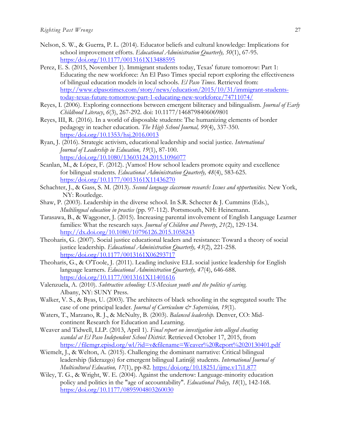- Nelson, S. W., & Guerra, P. L. (2014). Educator beliefs and cultural knowledge: Implications for school improvement efforts. *Educational Administration Quarterly, 50*(1), 67-95. https:/doi.org/10.1177/0013161X13488595
- Perez, E. S. (2015, November 1). Immigrant students today, Texas' future tomorrow: Part 1: Educating the new workforce: An El Paso Times special report exploring the effectiveness of bilingual education models in local schools. *El Paso Times*. Retrieved from: [http://www.elpasotimes.com/story/news/education/2015/10/31/immigrant-students](http://www.elpasotimes.com/story/news/education/2015/10/31/immigrant-students-today-texas-future-tomorrow-part-1-educating-new-workforce/74711074/)[today-texas-future-tomorrow-part-1-educating-new-workforce/74711074/](http://www.elpasotimes.com/story/news/education/2015/10/31/immigrant-students-today-texas-future-tomorrow-part-1-educating-new-workforce/74711074/)
- Reyes, I. (2006). Exploring connections between emergent biliteracy and bilingualism. *Journal of Early Childhood Literacy*, *6*(3), 267-292. doi: 10.1177/1468798406069801
- Reyes, III, R. (2016). In a world of disposable students: The humanizing elements of border pedagogy in teacher education. *The High School Journal, 99*(4), 337-350. [https:/doi.org/10.1353/hsj.2016.0013](https://doi.org/10.1353/hsj.2016.0013)
- Ryan, J. (2016). Strategic activism, educational leadership and social justice. *International Journal of Leadership in Education, 19*(1), 87-100. [https:/doi.org/10.1080/13603124.2015.1096077](https://doi.org/10.1080/13603124.2015.1096077)
- Scanlan, M., & López, F. (2012). ¡Vamos! How school leaders promote equity and excellence for bilingual students. *Educational Administration Quarterly, 48*(4), 583-625. [https:/doi.org/10.1177/0013161X11436270](https://doi.org/10.1177/0013161X11436270)
- Schachter, J., & Gass, S. M. (2013). *Second language classroom research: Issues and opportunities.* New York, NY: Routledge.
- Shaw, P. (2003). Leadership in the diverse school. In S.R. Schecter & J. Cummins (Eds.), *Multilingual education in practice* (pp. 97-112). Portsmouth, NH: Heinemann.
- Tarasawa, B., & Waggoner, J. (2015). Increasing parental involvement of English Language Learner families: What the research says. *Journal of Children and Poverty*, *21*(2), 129-134. <http://dx.doi.org/10.1080/10796126.2015.1058243>
- Theoharis, G. (2007). Social justice educational leaders and resistance: Toward a theory of social justice leadership. *Educational Administration Quarterly, 43*(2), 221-258. [https:/doi.org/10.1177/0013161X06293717](https://doi.org/10.1177/0013161X06293717)
- Theoharis, G., & O'Toole, J. (2011). Leading inclusive ELL social justice leadership for English language learners. *Educational Administration Quarterly, 47*(4), 646-688. [https:/doi.org/10.1177/0013161X11401616](https://doi.org/10.1177/0013161X11401616)
- Valenzuela, A. (2010). *Subtractive schooling: US-Mexican youth and the politics of caring.* Albany, NY: SUNY Press.
- Walker, V. S., & Byas, U. (2003). The architects of black schooling in the segregated south: The case of one principal leader. *Journal of Curriculum*  $\mathcal{O}$  *Supervision, 19*(1).
- Waters, T., Marzano, R. J., & McNulty, B. (2003). *Balanced leadership.* Denver, CO: Midcontinent Research for Education and Learning.
- Weaver and Tidwell, LLP. (2013, April 1). *Final report on investigation into alleged cheating scandal at El Paso Independent School District*. Retrieved October 17, 2015, from <https://filemgr.episd.org/wl/?id=v&filename=Weaver%20Report%2020130401.pdf>
- Wiemelt, J., & Welton, A. (2015). Challenging the dominant narrative: Critical bilingual leadership (liderazgo) for emergent bilingual Latin@ students. *International Journal of Multicultural Education, 17*(1), pp-82. [https:/doi.org/10.18251/ijme.v17i1.877](https://doi.org/10.18251/ijme.v17i1.877)
- Wiley, T. G., & Wright, W. E. (2004). Against the undertow: Language-minority education policy and politics in the "age of accountability". *Educational Policy, 18*(1), 142-168. [https:/doi.org/10.1177/0895904803260030](https://doi.org/10.1177/0895904803260030)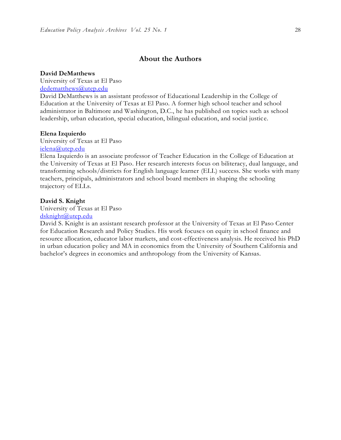# **About the Authors**

### **David DeMatthews**

University of Texas at El Paso [dedematthews@utep.edu](mailto:dedematthews@utep.edu)

David DeMatthews is an assistant professor of Educational Leadership in the College of Education at the University of Texas at El Paso. A former high school teacher and school administrator in Baltimore and Washington, D.C., he has published on topics such as school leadership, urban education, special education, bilingual education, and social justic e.

#### **Elena Izquierdo**

University of Texas at El Paso [ielena@utep.edu](mailto:ielena@utep.edu)

Elena Izquierdo is an associate professor of Teacher Education in the College of Education at the University of Texas at El Paso. Her research interests focus on biliteracy, dual language, and transforming schools/districts for English language learner (ELL) success. She works with many teachers, principals, administrators and school board members in shaping the schooling trajectory of ELLs.

#### **David S. Knight**

University of Texas at El Paso [dsknight@utep.edu](mailto:dedematthews@utep.edu)

David S. Knight is an assistant research professor at the University of Texas at El Paso Center for Education Research and Policy Studies. His work focuses on equity in school finance and resource allocation, educator labor markets, and cost-effectiveness analysis. He received his PhD in urban education policy and MA in economics from the University of Southern California and bachelor's degrees in economics and anthropology from the University of Kansas.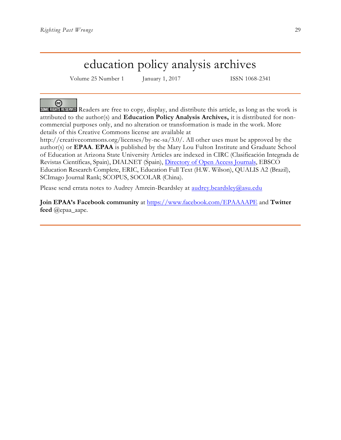# education policy analysis archives

Volume 25 Number 1 January 1, 2017 ISSN 1068-2341

# ര

SOME RIGHTS RESERVED Readers are free to copy, display, and distribute this article, as long as the work is attributed to the author(s) and **Education Policy Analysis Archives,** it is distributed for noncommercial purposes only, and no alteration or transformation is made in the work. More details of this Creative Commons license are available at

http://creativecommons.org/licenses/by-nc-sa/3.0/. All other uses must be approved by the author(s) or **EPAA**. **EPAA** is published by the Mary Lou Fulton Institute and Graduate School of Education at Arizona State University Articles are indexed in CIRC (Clasificación Integrada de Revistas Científicas, Spain), DIALNET (Spain), [Directory of Open Access Journals,](http://www.doaj.org/) EBSCO Education Research Complete, ERIC, Education Full Text (H.W. Wilson), QUALIS A2 (Brazil), SCImago Journal Rank; SCOPUS, SOCOLAR (China).

Please send errata notes to Audrey Amrein-Beardsley at [audrey.beardsley@asu.edu](mailto:audrey.beardsley@asu.edu)

**Join EPAA's Facebook community** at<https://www.facebook.com/EPAAAAPE> and **Twitter feed** @epaa\_aape.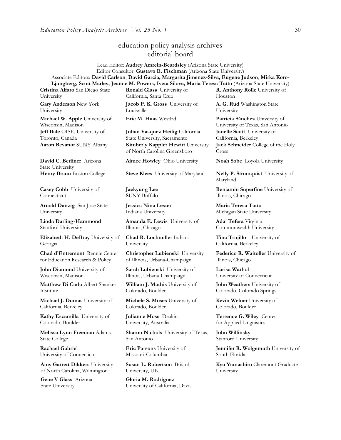# education policy analysis archives editorial board

Lead Editor: **Audrey Amrein-Beardsley** (Arizona State University) Editor Consultor: **Gustavo E. Fischman** (Arizona State University) Associate Editors: **David Carlson**, **David Garcia, Margarita Jimenez-Silva, Eugene Judson**, **Mirka Koro-Ljungberg, Scott Marley, Jeanne M. Powers, Iveta Silova, Maria Teresa Tatto** (Arizona State University)

**Cristina Alfaro** San Diego State University

**Gary Anderson** New York University

**Michael W. Apple** University of Wisconsin, Madison **Jeff Bale** OISE, University of Toronto, Canada

**David C. Berliner** Arizona State University

**Casey Cobb** University of **Connecticut** 

**Arnold Danzig** San Jose State University

**Linda Darling-Hammond**  Stanford University

**Elizabeth H. DeBray** University of Georgia

**Chad d'Entremont** Rennie Center for Education Research & Policy

**John Diamond** University of Wisconsin, Madison

**Matthew Di Carlo** Albert Shanker Institute

**Michael J. Dumas** University of California, Berkeley

**Kathy Escamilla** University of Colorado, Boulder

**Melissa Lynn Freeman** Adams State College

**Rachael Gabriel** University of Connecticut

**Amy Garrett Dikkers** University of North Carolina, Wilmington

**Gene V Glass** Arizona State University

**Ronald Glass** University of California, Santa Cruz

**Jacob P. K. Gross** University of **Louisville** 

**Julian Vasquez Heilig** California State University, Sacramento **Aaron Bevanot** SUNY Albany **Kimberly Kappler Hewitt** University of North Carolina Greensboro

**Aimee Howley** Ohio University **Noah Sobe** Loyola University

**Henry Braun** Boston College **Steve Klees** University of Maryland **Nelly P. Stromquist** University of

**Jaekyung Lee S**UNY Buffalo

**Jessica Nina Lester** Indiana University

**Amanda E. Lewis** University of Illinois, Chicago

**Chad R. Lochmiller** Indiana University

**Christopher Lubienski** University of Illinois, Urbana-Champaign

**Sarah Lubienski** University of Illinois, Urbana-Champaign

**William J. Mathis** University of Colorado, Boulder

**Michele S. Moses** University of Colorado, Boulder

**Julianne Moss** Deakin University, Australia

**Sharon Nichols** University of Texas, San Antonio

**Eric Parsons** University of Missouri-Columbia

**Susan L. Robertson** Bristol University, UK

**Gloria M. Rodriguez** University of California, Davis **R. Anthony Rolle** University of Houston

**A. G. Rud** Washington State University

**Eric M. Haas** WestEd **Patricia Sánchez** University of University of Texas, San Antonio **Janelle Scott** University of California, Berkeley

> **Jack Schneider** College of the Holy Cross

Maryland

**Benjamin Superfine** University of Illinois, Chicago

**Maria Teresa Tatto**  Michigan State University

**Adai Tefera** Virginia Commonwealth University

**Tina Trujillo** University of California, Berkeley

**Federico R. Waitoller** University of Illinois, Chicago

**Larisa Warhol** University of Connecticut

**John Weathers** University of Colorado, Colorado Springs

**Kevin Welner** University of Colorado, Boulder

**Terrence G. Wiley** Center for Applied Linguistics

**John Willinsky**  Stanford University

**Jennifer R. Wolgemuth University of** South Florida

**Kyo Yamashiro** Claremont Graduate University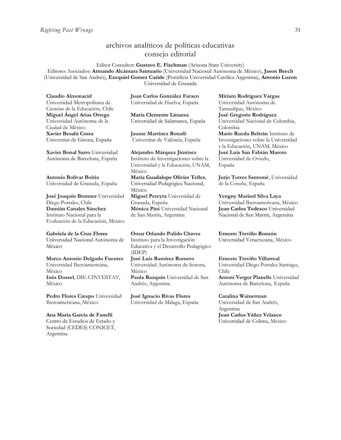# archivos analíticos de políticas educativas consejo editorial

Editor Consultor: **Gustavo E. Fischman** (Arizona State University) Editores Asociados: **Armando Alcántara Santuario** (Universidad Nacional Autónoma de México), **Jason Beech** (Universidad de San Andrés), **Ezequiel Gomez Caride** (Pontificia Universidad Católica Argentina), **Antonio Luzon** Universidad de Granada

**Claudio Almonacid** Universidad Metropolitana de Ciencias de la Educación, Chile **Miguel Ángel Arias Ortega**  Universidad Autónoma de la Ciudad de México **Xavier Besalú Costa**  Universitat de Girona, España

**[Xavier Bonal](javascript:openRTWindow() Sarro** Universidad Autónoma de Barcelona, España

**[Antonio Bolívar](javascript:openRTWindow() Boitia** Universidad de Granada, España

**[José Joaquín Brunner](javascript:openRTWindow()** Universidad Diego Portales, Chile **[Damián Canales Sánchez](javascript:openRTWindow()** Instituto Nacional para la Evaluación de la Educación, México

#### **Gabriela de la Cruz Flores** Universidad Nacional Autónoma de

México

**[Marco Antonio Delgado Fuentes](javascript:openRTWindow()** Universidad Iberoamericana, México **[Inés Dussel](javascript:openRTWindow()**, DIE-CINVESTAV, México

**[Pedro Flores Crespo](javascript:openRTWindow()** Universidad Iberoamericana, México

#### **Ana María García de Fanelli**

Centro de Estudios de Estado y Sociedad (CEDES) CONICET, Argentina

**Juan Carlos González Faraco**  Universidad de Huelva, España

**María Clemente Linuesa**  Universidad de Salamanca, España

**Jaume Martínez Bonafé** Universitat de València, España

**Alejandro Márquez Jiménez**  Instituto de Investigaciones sobre la Universidad y la Educación, UNAM, México **María Guadalupe Olivier Tellez**, Universidad Pedagógica Nacional, México **[Miguel Pereyra](javascript:openRTWindow()** Universidad de Granada, España **[Mónica Pini](javascript:openRTWindow()** Universidad Nacional

de San Martín, Argentina

**Omar Orlando Pulido Chaves** Instituto para la Investigación Educativa y el Desarrollo Pedagógico (IDEP) **[José Luis Ramírez](javascript:openRTWindow() Romero**

Universidad Autónoma de Sonora, México **[Paula Razquin](javascript:openRTWindow()** Universidad de San Andrés, Argentina

**José Ignacio Rivas Flores** Universidad de Málaga, España **[Miriam Rodríguez Vargas](javascript:openRTWindow()** Universidad Autónoma de Tamaulipas, México **José Gregorio Rodríguez**  Universidad Nacional de Colombia, Colombia **[Mario Rueda Beltrán](javascript:openRTWindow()** Instituto de Investigaciones sobre la Universidad y la Educación, UNAM, México **José Luis San Fabián Maroto**  Universidad de Oviedo, España

**[Jurjo Torres Santomé](javascript:openRTWindow()**, Universidad de la Coruña, España

**[Yengny Marisol Silva Laya](javascript:openRTWindow()** Universidad Iberoamericana, México **Juan Carlos Tedesco** Universidad Nacional de San Martín, Argentina

**Ernesto Treviño Ronzón** Universidad Veracruzana, México

**[Ernesto Treviño](javascript:openRTWindow() Villarreal** Universidad Diego Portales Santiago, Chile **[Antoni Verger Planells](javascript:openRTWindow()** Universidad

Autónoma de Barcelona, España

#### **[Catalina Wainerman](javascript:openRTWindow()**

Universidad de San Andrés, Argentina **Juan Carlos Yáñez Velazco** Universidad de Colima, México